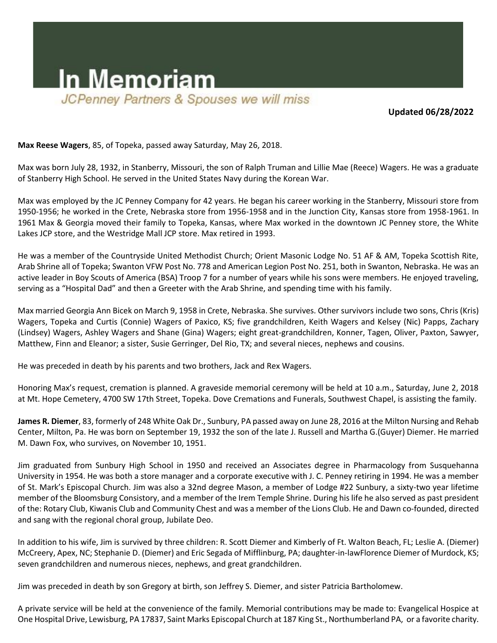

**Updated 06/28/2022**

**Max Reese Wagers**, 85, of Topeka, passed away Saturday, May 26, 2018.

Max was born July 28, 1932, in Stanberry, Missouri, the son of Ralph Truman and Lillie Mae (Reece) Wagers. He was a graduate of Stanberry High School. He served in the United States Navy during the Korean War.

Max was employed by the JC Penney Company for 42 years. He began his career working in the Stanberry, Missouri store from 1950-1956; he worked in the Crete, Nebraska store from 1956-1958 and in the Junction City, Kansas store from 1958-1961. In 1961 Max & Georgia moved their family to Topeka, Kansas, where Max worked in the downtown JC Penney store, the White Lakes JCP store, and the Westridge Mall JCP store. Max retired in 1993.

He was a member of the Countryside United Methodist Church; Orient Masonic Lodge No. 51 AF & AM, Topeka Scottish Rite, Arab Shrine all of Topeka; Swanton VFW Post No. 778 and American Legion Post No. 251, both in Swanton, Nebraska. He was an active leader in Boy Scouts of America (BSA) Troop 7 for a number of years while his sons were members. He enjoyed traveling, serving as a "Hospital Dad" and then a Greeter with the Arab Shrine, and spending time with his family.

Max married Georgia Ann Bicek on March 9, 1958 in Crete, Nebraska. She survives. Other survivors include two sons, Chris (Kris) Wagers, Topeka and Curtis (Connie) Wagers of Paxico, KS; five grandchildren, Keith Wagers and Kelsey (Nic) Papps, Zachary (Lindsey) Wagers, Ashley Wagers and Shane (Gina) Wagers; eight great-grandchildren, Konner, Tagen, Oliver, Paxton, Sawyer, Matthew, Finn and Eleanor; a sister, Susie Gerringer, Del Rio, TX; and several nieces, nephews and cousins.

He was preceded in death by his parents and two brothers, Jack and Rex Wagers.

Honoring Max's request, cremation is planned. A graveside memorial ceremony will be held at 10 a.m., Saturday, June 2, 2018 at Mt. Hope Cemetery, 4700 SW 17th Street, Topeka. Dove Cremations and Funerals, Southwest Chapel, is assisting the family.

**James R. Diemer**, 83, formerly of 248 White Oak Dr., Sunbury, PA passed away on June 28, 2016 at the Milton Nursing and Rehab Center, Milton, Pa. He was born on September 19, 1932 the son of the late J. Russell and Martha G.(Guyer) Diemer. He married M. Dawn Fox, who survives, on November 10, 1951.

Jim graduated from Sunbury High School in 1950 and received an Associates degree in Pharmacology from Susquehanna University in 1954. He was both a store manager and a corporate executive with J. C. Penney retiring in 1994. He was a member of St. Mark's Episcopal Church. Jim was also a 32nd degree Mason, a member of Lodge #22 Sunbury, a sixty-two year lifetime member of the Bloomsburg Consistory, and a member of the Irem Temple Shrine. During his life he also served as past president of the: Rotary Club, Kiwanis Club and Community Chest and was a member of the Lions Club. He and Dawn co-founded, directed and sang with the regional choral group, Jubilate Deo.

In addition to his wife, Jim is survived by three children: R. Scott Diemer and Kimberly of Ft. Walton Beach, FL; Leslie A. (Diemer) McCreery, Apex, NC; Stephanie D. (Diemer) and Eric Segada of Mifflinburg, PA; daughter-in-lawFlorence Diemer of Murdock, KS; seven grandchildren and numerous nieces, nephews, and great grandchildren.

Jim was preceded in death by son Gregory at birth, son Jeffrey S. Diemer, and sister Patricia Bartholomew.

A private service will be held at the convenience of the family. Memorial contributions may be made to: Evangelical Hospice at One Hospital Drive, Lewisburg, PA 17837, Saint Marks Episcopal Church at 187 King St., Northumberland PA, or a favorite charity.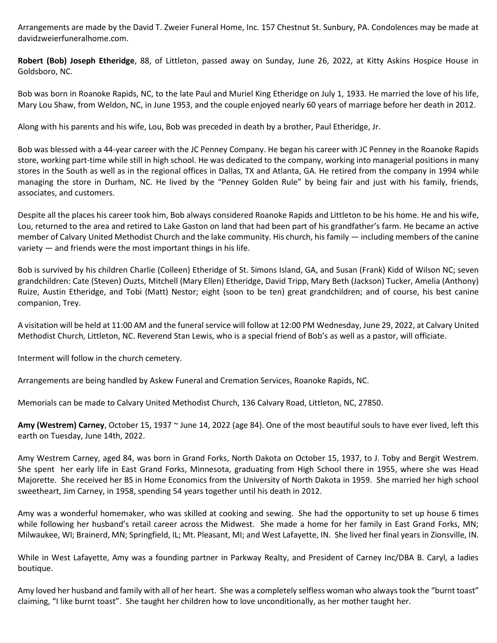Arrangements are made by the David T. Zweier Funeral Home, Inc. 157 Chestnut St. Sunbury, PA. Condolences may be made at davidzweierfuneralhome.com.

**Robert (Bob) Joseph Etheridge**, 88, of Littleton, passed away on Sunday, June 26, 2022, at Kitty Askins Hospice House in Goldsboro, NC.

Bob was born in Roanoke Rapids, NC, to the late Paul and Muriel King Etheridge on July 1, 1933. He married the love of his life, Mary Lou Shaw, from Weldon, NC, in June 1953, and the couple enjoyed nearly 60 years of marriage before her death in 2012.

Along with his parents and his wife, Lou, Bob was preceded in death by a brother, Paul Etheridge, Jr.

Bob was blessed with a 44-year career with the JC Penney Company. He began his career with JC Penney in the Roanoke Rapids store, working part-time while still in high school. He was dedicated to the company, working into managerial positions in many stores in the South as well as in the regional offices in Dallas, TX and Atlanta, GA. He retired from the company in 1994 while managing the store in Durham, NC. He lived by the "Penney Golden Rule" by being fair and just with his family, friends, associates, and customers.

Despite all the places his career took him, Bob always considered Roanoke Rapids and Littleton to be his home. He and his wife, Lou, returned to the area and retired to Lake Gaston on land that had been part of his grandfather's farm. He became an active member of Calvary United Methodist Church and the lake community. His church, his family — including members of the canine variety — and friends were the most important things in his life.

Bob is survived by his children Charlie (Colleen) Etheridge of St. Simons Island, GA, and Susan (Frank) Kidd of Wilson NC; seven grandchildren: Cate (Steven) Ouzts, Mitchell (Mary Ellen) Etheridge, David Tripp, Mary Beth (Jackson) Tucker, Amelia (Anthony) Ruize, Austin Etheridge, and Tobi (Matt) Nestor; eight (soon to be ten) great grandchildren; and of course, his best canine companion, Trey.

A visitation will be held at 11:00 AM and the funeral service will follow at 12:00 PM Wednesday, June 29, 2022, at Calvary United Methodist Church, Littleton, NC. Reverend Stan Lewis, who is a special friend of Bob's as well as a pastor, will officiate.

Interment will follow in the church cemetery.

Arrangements are being handled by Askew Funeral and Cremation Services, Roanoke Rapids, NC.

Memorials can be made to Calvary United Methodist Church, 136 Calvary Road, Littleton, NC, 27850.

**Amy (Westrem) Carney**, October 15, 1937 ~ June 14, 2022 (age 84). One of the most beautiful souls to have ever lived, left this earth on Tuesday, June 14th, 2022.

Amy Westrem Carney, aged 84, was born in Grand Forks, North Dakota on October 15, 1937, to J. Toby and Bergit Westrem. She spent her early life in East Grand Forks, Minnesota, graduating from High School there in 1955, where she was Head Majorette. She received her BS in Home Economics from the University of North Dakota in 1959. She married her high school sweetheart, Jim Carney, in 1958, spending 54 years together until his death in 2012.

Amy was a wonderful homemaker, who was skilled at cooking and sewing. She had the opportunity to set up house 6 times while following her husband's retail career across the Midwest. She made a home for her family in East Grand Forks, MN; Milwaukee, WI; Brainerd, MN; Springfield, IL; Mt. Pleasant, MI; and West Lafayette, IN. She lived her final years in Zionsville, IN.

While in West Lafayette, Amy was a founding partner in Parkway Realty, and President of Carney Inc/DBA B. Caryl, a ladies boutique.

Amy loved her husband and family with all of her heart. She was a completely selfless woman who always took the "burnt toast" claiming, "I like burnt toast". She taught her children how to love unconditionally, as her mother taught her.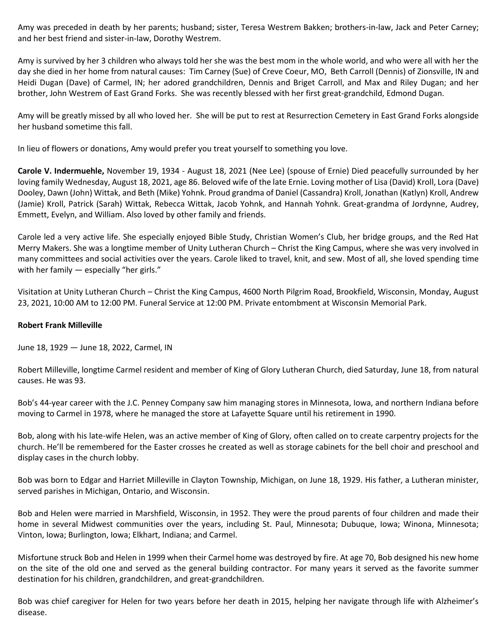Amy was preceded in death by her parents; husband; sister, Teresa Westrem Bakken; brothers-in-law, Jack and Peter Carney; and her best friend and sister-in-law, Dorothy Westrem.

Amy is survived by her 3 children who always told her she was the best mom in the whole world, and who were all with her the day she died in her home from natural causes: Tim Carney (Sue) of Creve Coeur, MO, Beth Carroll (Dennis) of Zionsville, IN and Heidi Dugan (Dave) of Carmel, IN; her adored grandchildren, Dennis and Briget Carroll, and Max and Riley Dugan; and her brother, John Westrem of East Grand Forks. She was recently blessed with her first great-grandchild, Edmond Dugan.

Amy will be greatly missed by all who loved her. She will be put to rest at Resurrection Cemetery in East Grand Forks alongside her husband sometime this fall.

In lieu of flowers or donations, Amy would prefer you treat yourself to something you love.

**Carole V. Indermuehle,** November 19, 1934 - August 18, 2021 (Nee Lee) (spouse of Ernie) Died peacefully surrounded by her loving family Wednesday, August 18, 2021, age 86. Beloved wife of the late Ernie. Loving mother of Lisa (David) Kroll, Lora (Dave) Dooley, Dawn (John) Wittak, and Beth (Mike) Yohnk. Proud grandma of Daniel (Cassandra) Kroll, Jonathan (Katlyn) Kroll, Andrew (Jamie) Kroll, Patrick (Sarah) Wittak, Rebecca Wittak, Jacob Yohnk, and Hannah Yohnk. Great-grandma of Jordynne, Audrey, Emmett, Evelyn, and William. Also loved by other family and friends.

Carole led a very active life. She especially enjoyed Bible Study, Christian Women's Club, her bridge groups, and the Red Hat Merry Makers. She was a longtime member of Unity Lutheran Church – Christ the King Campus, where she was very involved in many committees and social activities over the years. Carole liked to travel, knit, and sew. Most of all, she loved spending time with her family — especially "her girls."

Visitation at Unity Lutheran Church – Christ the King Campus, 4600 North Pilgrim Road, Brookfield, Wisconsin, Monday, August 23, 2021, 10:00 AM to 12:00 PM. Funeral Service at 12:00 PM. Private entombment at Wisconsin Memorial Park.

## **Robert Frank Milleville**

June 18, 1929 — June 18, 2022, Carmel, IN

Robert Milleville, longtime Carmel resident and member of King of Glory Lutheran Church, died Saturday, June 18, from natural causes. He was 93.

Bob's 44-year career with the J.C. Penney Company saw him managing stores in Minnesota, Iowa, and northern Indiana before moving to Carmel in 1978, where he managed the store at Lafayette Square until his retirement in 1990.

Bob, along with his late-wife Helen, was an active member of King of Glory, often called on to create carpentry projects for the church. He'll be remembered for the Easter crosses he created as well as storage cabinets for the bell choir and preschool and display cases in the church lobby.

Bob was born to Edgar and Harriet Milleville in Clayton Township, Michigan, on June 18, 1929. His father, a Lutheran minister, served parishes in Michigan, Ontario, and Wisconsin.

Bob and Helen were married in Marshfield, Wisconsin, in 1952. They were the proud parents of four children and made their home in several Midwest communities over the years, including St. Paul, Minnesota; Dubuque, Iowa; Winona, Minnesota; Vinton, Iowa; Burlington, Iowa; Elkhart, Indiana; and Carmel.

Misfortune struck Bob and Helen in 1999 when their Carmel home was destroyed by fire. At age 70, Bob designed his new home on the site of the old one and served as the general building contractor. For many years it served as the favorite summer destination for his children, grandchildren, and great-grandchildren.

Bob was chief caregiver for Helen for two years before her death in 2015, helping her navigate through life with Alzheimer's disease.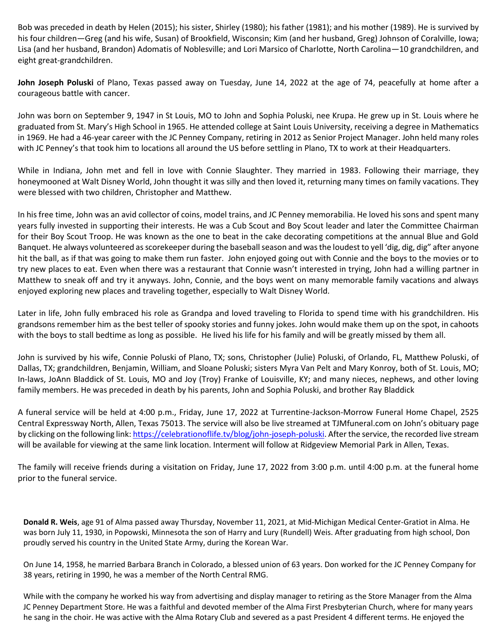Bob was preceded in death by Helen (2015); his sister, Shirley (1980); his father (1981); and his mother (1989). He is survived by his four children—Greg (and his wife, Susan) of Brookfield, Wisconsin; Kim (and her husband, Greg) Johnson of Coralville, Iowa; Lisa (and her husband, Brandon) Adomatis of Noblesville; and Lori Marsico of Charlotte, North Carolina—10 grandchildren, and eight great-grandchildren.

**John Joseph Poluski** of Plano, Texas passed away on Tuesday, June 14, 2022 at the age of 74, peacefully at home after a courageous battle with cancer.

John was born on September 9, 1947 in St Louis, MO to John and Sophia Poluski, nee Krupa. He grew up in St. Louis where he graduated from St. Mary's High School in 1965. He attended college at Saint Louis University, receiving a degree in Mathematics in 1969. He had a 46-year career with the JC Penney Company, retiring in 2012 as Senior Project Manager. John held many roles with JC Penney's that took him to locations all around the US before settling in Plano, TX to work at their Headquarters.

While in Indiana, John met and fell in love with Connie Slaughter. They married in 1983. Following their marriage, they honeymooned at Walt Disney World, John thought it was silly and then loved it, returning many times on family vacations. They were blessed with two children, Christopher and Matthew.

In his free time, John was an avid collector of coins, model trains, and JC Penney memorabilia. He loved his sons and spent many years fully invested in supporting their interests. He was a Cub Scout and Boy Scout leader and later the Committee Chairman for their Boy Scout Troop. He was known as the one to beat in the cake decorating competitions at the annual Blue and Gold Banquet. He always volunteered as scorekeeper during the baseball season and was the loudest to yell 'dig, dig, dig" after anyone hit the ball, as if that was going to make them run faster. John enjoyed going out with Connie and the boys to the movies or to try new places to eat. Even when there was a restaurant that Connie wasn't interested in trying, John had a willing partner in Matthew to sneak off and try it anyways. John, Connie, and the boys went on many memorable family vacations and always enjoyed exploring new places and traveling together, especially to Walt Disney World.

Later in life, John fully embraced his role as Grandpa and loved traveling to Florida to spend time with his grandchildren. His grandsons remember him as the best teller of spooky stories and funny jokes. John would make them up on the spot, in cahoots with the boys to stall bedtime as long as possible. He lived his life for his family and will be greatly missed by them all.

John is survived by his wife, Connie Poluski of Plano, TX; sons, Christopher (Julie) Poluski, of Orlando, FL, Matthew Poluski, of Dallas, TX; grandchildren, Benjamin, William, and Sloane Poluski; sisters Myra Van Pelt and Mary Konroy, both of St. Louis, MO; In-laws, JoAnn Bladdick of St. Louis, MO and Joy (Troy) Franke of Louisville, KY; and many nieces, nephews, and other loving family members. He was preceded in death by his parents, John and Sophia Poluski, and brother Ray Bladdick

A funeral service will be held at 4:00 p.m., Friday, June 17, 2022 at Turrentine-Jackson-Morrow Funeral Home Chapel, 2525 Central Expressway North, Allen, Texas 75013. The service will also be live streamed at TJMfuneral.com on John's obituary page by clicking on the following link: [https://celebrationoflife.tv/blog/john-joseph-poluski.](https://celebrationoflife.tv/blog/john-joseph-poluski) After the service, the recorded live stream will be available for viewing at the same link location. Interment will follow at Ridgeview Memorial Park in Allen, Texas.

The family will receive friends during a visitation on Friday, June 17, 2022 from 3:00 p.m. until 4:00 p.m. at the funeral home prior to the funeral service.

**Donald R. Weis**, age 91 of Alma passed away Thursday, November 11, 2021, at Mid-Michigan Medical Center-Gratiot in Alma. He was born July 11, 1930, in Popowski, Minnesota the son of Harry and Lury (Rundell) Weis. After graduating from high school, Don proudly served his country in the United State Army, during the Korean War.

On June 14, 1958, he married Barbara Branch in Colorado, a blessed union of 63 years. Don worked for the JC Penney Company for 38 years, retiring in 1990, he was a member of the North Central RMG.

While with the company he worked his way from advertising and display manager to retiring as the Store Manager from the Alma JC Penney Department Store. He was a faithful and devoted member of the Alma First Presbyterian Church, where for many years he sang in the choir. He was active with the Alma Rotary Club and severed as a past President 4 different terms. He enjoyed the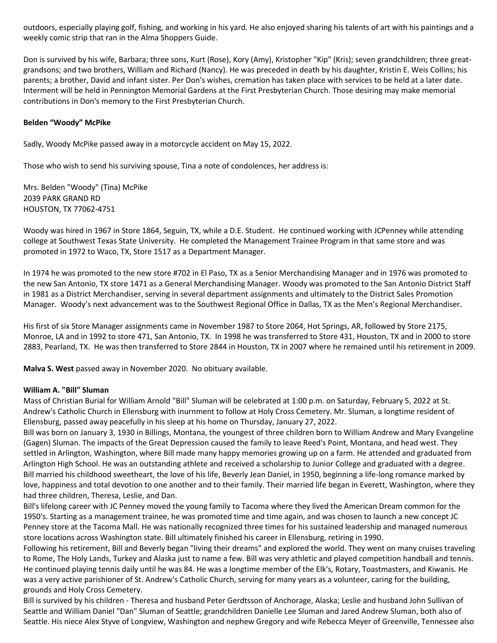outdoors, especially playing golf, fishing, and working in his yard. He also enjoyed sharing his talents of art with his paintings and a weekly comic strip that ran in the Alma Shoppers Guide.

Don is survived by his wife, Barbara; three sons, Kurt (Rose), Kory (Amy), Kristopher "Kip" (Kris); seven grandchildren; three greatgrandsons; and two brothers, William and Richard (Nancy). He was preceded in death by his daughter, Kristin E. Weis Collins; his parents; a brother, David and infant sister. Per Don's wishes, cremation has taken place with services to be held at a later date. Interment will be held in Pennington Memorial Gardens at the First Presbyterian Church. Those desiring may make memorial contributions in Don's memory to the First Presbyterian Church.

## **Belden "Woody" McPike**

Sadly, Woody McPike passed away in a motorcycle accident on May 15, 2022.

Those who wish to send his surviving spouse, Tina a note of condolences, her address is:

Mrs. Belden "Woody" (Tina) McPike 2039 PARK GRAND RD HOUSTON, TX 77062-4751

Woody was hired in 1967 in Store 1864, Seguin, TX, while a D.E. Student. He continued working with JCPenney while attending college at Southwest Texas State University. He completed the Management Trainee Program in that same store and was promoted in 1972 to Waco, TX, Store 1517 as a Department Manager.

In 1974 he was promoted to the new store #702 in El Paso, TX as a Senior Merchandising Manager and in 1976 was promoted to the new San Antonio, TX store 1471 as a General Merchandising Manager. Woody was promoted to the San Antonio District Staff in 1981 as a District Merchandiser, serving in several department assignments and ultimately to the District Sales Promotion Manager. Woody's next advancement was to the Southwest Regional Office in Dallas, TX as the Men's Regional Merchandiser.

His first of six Store Manager assignments came in November 1987 to Store 2064, Hot Springs, AR, followed by Store 2175, Monroe, LA and in 1992 to store 471, San Antonio, TX. In 1998 he was transferred to Store 431, Houston, TX and in 2000 to store 2883, Pearland, TX. He was then transferred to Store 2844 in Houston, TX in 2007 where he remained until his retirement in 2009.

**Malva S. West** passed away in November 2020. No obituary available.

## **William A. "Bill" Sluman**

Mass of Christian Burial for William Arnold "Bill" Sluman will be celebrated at 1:00 p.m. on Saturday, February 5, 2022 at St. Andrew's Catholic Church in Ellensburg with inurnment to follow at Holy Cross Cemetery. Mr. Sluman, a longtime resident of Ellensburg, passed away peacefully in his sleep at his home on Thursday, January 27, 2022.

Bill was born on January 3, 1930 in Billings, Montana, the youngest of three children born to William Andrew and Mary Evangeline (Gagen) Sluman. The impacts of the Great Depression caused the family to leave Reed's Point, Montana, and head west. They settled in Arlington, Washington, where Bill made many happy memories growing up on a farm. He attended and graduated from Arlington High School. He was an outstanding athlete and received a scholarship to Junior College and graduated with a degree. Bill married his childhood sweetheart, the love of his life, Beverly Jean Daniel, in 1950, beginning a life-long romance marked by love, happiness and total devotion to one another and to their family. Their married life began in Everett, Washington, where they had three children, Theresa, Leslie, and Dan.

Bill's lifelong career with JC Penney moved the young family to Tacoma where they lived the American Dream common for the 1950's. Starting as a management trainee, he was promoted time and time again, and was chosen to launch a new concept JC Penney store at the Tacoma Mall. He was nationally recognized three times for his sustained leadership and managed numerous store locations across Washington state. Bill ultimately finished his career in Ellensburg, retiring in 1990.

Following his retirement, Bill and Beverly began "living their dreams" and explored the world. They went on many cruises traveling to Rome, The Holy Lands, Turkey and Alaska just to name a few. Bill was very athletic and played competition handball and tennis. He continued playing tennis daily until he was 84. He was a longtime member of the Elk's, Rotary, Toastmasters, and Kiwanis. He was a very active parishioner of St. Andrew's Catholic Church, serving for many years as a volunteer, caring for the building, grounds and Holy Cross Cemetery.

Bill is survived by his children - Theresa and husband Peter Gerdtsson of Anchorage, Alaska; Leslie and husband John Sullivan of Seattle and William Daniel "Dan" Sluman of Seattle; grandchildren Danielle Lee Sluman and Jared Andrew Sluman, both also of Seattle. His niece Alex Styve of Longview, Washington and nephew Gregory and wife Rebecca Meyer of Greenville, Tennessee also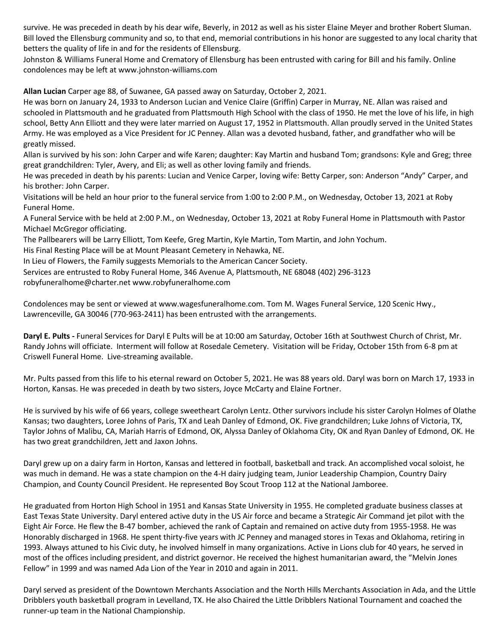survive. He was preceded in death by his dear wife, Beverly, in 2012 as well as his sister Elaine Meyer and brother Robert Sluman. Bill loved the Ellensburg community and so, to that end, memorial contributions in his honor are suggested to any local charity that betters the quality of life in and for the residents of Ellensburg.

Johnston & Williams Funeral Home and Crematory of Ellensburg has been entrusted with caring for Bill and his family. Online condolences may be left at www.johnston-williams.com

**Allan Lucian** Carper age 88, of Suwanee, GA passed away on Saturday, October 2, 2021.

He was born on January 24, 1933 to Anderson Lucian and Venice Claire (Griffin) Carper in Murray, NE. Allan was raised and schooled in Plattsmouth and he graduated from Plattsmouth High School with the class of 1950. He met the love of his life, in high school, Betty Ann Elliott and they were later married on August 17, 1952 in Plattsmouth. Allan proudly served in the United States Army. He was employed as a Vice President for JC Penney. Allan was a devoted husband, father, and grandfather who will be greatly missed.

Allan is survived by his son: John Carper and wife Karen; daughter: Kay Martin and husband Tom; grandsons: Kyle and Greg; three great grandchildren: Tyler, Avery, and Eli; as well as other loving family and friends.

He was preceded in death by his parents: Lucian and Venice Carper, loving wife: Betty Carper, son: Anderson "Andy" Carper, and his brother: John Carper.

Visitations will be held an hour prior to the funeral service from 1:00 to 2:00 P.M., on Wednesday, October 13, 2021 at Roby Funeral Home.

A Funeral Service with be held at 2:00 P.M., on Wednesday, October 13, 2021 at Roby Funeral Home in Plattsmouth with Pastor Michael McGregor officiating.

The Pallbearers will be Larry Elliott, Tom Keefe, Greg Martin, Kyle Martin, Tom Martin, and John Yochum.

His Final Resting Place will be at Mount Pleasant Cemetery in Nehawka, NE.

In Lieu of Flowers, the Family suggests Memorials to the American Cancer Society.

Services are entrusted to Roby Funeral Home, 346 Avenue A, Plattsmouth, NE 68048 (402) 296-3123

robyfuneralhome@charter.net www.robyfuneralhome.com

Condolences may be sent or viewed at www.wagesfuneralhome.com. Tom M. Wages Funeral Service, 120 Scenic Hwy., Lawrenceville, GA 30046 (770-963-2411) has been entrusted with the arrangements.

**Daryl E. Pults -** Funeral Services for Daryl E Pults will be at 10:00 am Saturday, October 16th at Southwest Church of Christ, Mr. Randy Johns will officiate. Interment will follow at Rosedale Cemetery. Visitation will be Friday, October 15th from 6-8 pm at Criswell Funeral Home. Live-streaming available.

Mr. Pults passed from this life to his eternal reward on October 5, 2021. He was 88 years old. Daryl was born on March 17, 1933 in Horton, Kansas. He was preceded in death by two sisters, Joyce McCarty and Elaine Fortner.

He is survived by his wife of 66 years, college sweetheart Carolyn Lentz. Other survivors include his sister Carolyn Holmes of Olathe Kansas; two daughters, Loree Johns of Paris, TX and Leah Danley of Edmond, OK. Five grandchildren; Luke Johns of Victoria, TX, Taylor Johns of Malibu, CA, Mariah Harris of Edmond, OK, Alyssa Danley of Oklahoma City, OK and Ryan Danley of Edmond, OK. He has two great grandchildren, Jett and Jaxon Johns.

Daryl grew up on a dairy farm in Horton, Kansas and lettered in football, basketball and track. An accomplished vocal soloist, he was much in demand. He was a state champion on the 4-H dairy judging team, Junior Leadership Champion, Country Dairy Champion, and County Council President. He represented Boy Scout Troop 112 at the National Jamboree.

He graduated from Horton High School in 1951 and Kansas State University in 1955. He completed graduate business classes at East Texas State University. Daryl entered active duty in the US Air force and became a Strategic Air Command jet pilot with the Eight Air Force. He flew the B-47 bomber, achieved the rank of Captain and remained on active duty from 1955-1958. He was Honorably discharged in 1968. He spent thirty-five years with JC Penney and managed stores in Texas and Oklahoma, retiring in 1993. Always attuned to his Civic duty, he involved himself in many organizations. Active in Lions club for 40 years, he served in most of the offices including president, and district governor. He received the highest humanitarian award, the "Melvin Jones Fellow" in 1999 and was named Ada Lion of the Year in 2010 and again in 2011.

Daryl served as president of the Downtown Merchants Association and the North Hills Merchants Association in Ada, and the Little Dribblers youth basketball program in Levelland, TX. He also Chaired the Little Dribblers National Tournament and coached the runner-up team in the National Championship.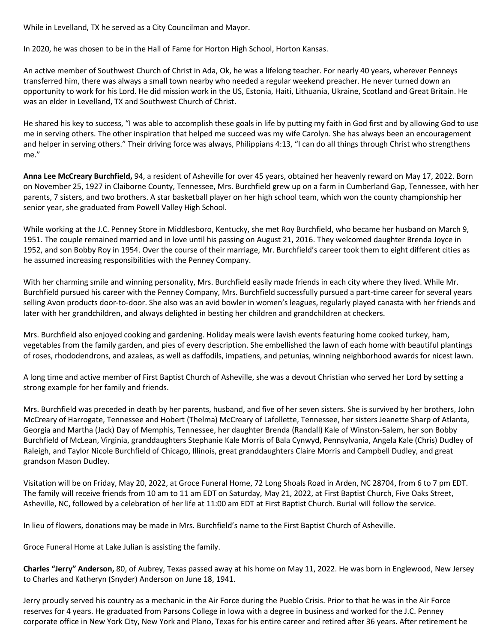While in Levelland, TX he served as a City Councilman and Mayor.

In 2020, he was chosen to be in the Hall of Fame for Horton High School, Horton Kansas.

An active member of Southwest Church of Christ in Ada, Ok, he was a lifelong teacher. For nearly 40 years, wherever Penneys transferred him, there was always a small town nearby who needed a regular weekend preacher. He never turned down an opportunity to work for his Lord. He did mission work in the US, Estonia, Haiti, Lithuania, Ukraine, Scotland and Great Britain. He was an elder in Levelland, TX and Southwest Church of Christ.

He shared his key to success, "I was able to accomplish these goals in life by putting my faith in God first and by allowing God to use me in serving others. The other inspiration that helped me succeed was my wife Carolyn. She has always been an encouragement and helper in serving others." Their driving force was always, Philippians 4:13, "I can do all things through Christ who strengthens me."

**Anna Lee McCreary Burchfield,** 94, a resident of Asheville for over 45 years, obtained her heavenly reward on May 17, 2022. Born on November 25, 1927 in Claiborne County, Tennessee, Mrs. Burchfield grew up on a farm in Cumberland Gap, Tennessee, with her parents, 7 sisters, and two brothers. A star basketball player on her high school team, which won the county championship her senior year, she graduated from Powell Valley High School.

While working at the J.C. Penney Store in Middlesboro, Kentucky, she met Roy Burchfield, who became her husband on March 9, 1951. The couple remained married and in love until his passing on August 21, 2016. They welcomed daughter Brenda Joyce in 1952, and son Bobby Roy in 1954. Over the course of their marriage, Mr. Burchfield's career took them to eight different cities as he assumed increasing responsibilities with the Penney Company.

With her charming smile and winning personality, Mrs. Burchfield easily made friends in each city where they lived. While Mr. Burchfield pursued his career with the Penney Company, Mrs. Burchfield successfully pursued a part-time career for several years selling Avon products door-to-door. She also was an avid bowler in women's leagues, regularly played canasta with her friends and later with her grandchildren, and always delighted in besting her children and grandchildren at checkers.

Mrs. Burchfield also enjoyed cooking and gardening. Holiday meals were lavish events featuring home cooked turkey, ham, vegetables from the family garden, and pies of every description. She embellished the lawn of each home with beautiful plantings of roses, rhododendrons, and azaleas, as well as daffodils, impatiens, and petunias, winning neighborhood awards for nicest lawn.

A long time and active member of First Baptist Church of Asheville, she was a devout Christian who served her Lord by setting a strong example for her family and friends.

Mrs. Burchfield was preceded in death by her parents, husband, and five of her seven sisters. She is survived by her brothers, John McCreary of Harrogate, Tennessee and Hobert (Thelma) McCreary of Lafollette, Tennessee, her sisters Jeanette Sharp of Atlanta, Georgia and Martha (Jack) Day of Memphis, Tennessee, her daughter Brenda (Randall) Kale of Winston-Salem, her son Bobby Burchfield of McLean, Virginia, granddaughters Stephanie Kale Morris of Bala Cynwyd, Pennsylvania, Angela Kale (Chris) Dudley of Raleigh, and Taylor Nicole Burchfield of Chicago, Illinois, great granddaughters Claire Morris and Campbell Dudley, and great grandson Mason Dudley.

Visitation will be on Friday, May 20, 2022, at Groce Funeral Home, 72 Long Shoals Road in Arden, NC 28704, from 6 to 7 pm EDT. The family will receive friends from 10 am to 11 am EDT on Saturday, May 21, 2022, at First Baptist Church, Five Oaks Street, Asheville, NC, followed by a celebration of her life at 11:00 am EDT at First Baptist Church. Burial will follow the service.

In lieu of flowers, donations may be made in Mrs. Burchfield's name to the First Baptist Church of Asheville.

Groce Funeral Home at Lake Julian is assisting the family.

**Charles "Jerry" Anderson,** 80, of Aubrey, Texas passed away at his home on May 11, 2022. He was born in Englewood, New Jersey to Charles and Katheryn (Snyder) Anderson on June 18, 1941.

Jerry proudly served his country as a mechanic in the Air Force during the Pueblo Crisis. Prior to that he was in the Air Force reserves for 4 years. He graduated from Parsons College in Iowa with a degree in business and worked for the J.C. Penney corporate office in New York City, New York and Plano, Texas for his entire career and retired after 36 years. After retirement he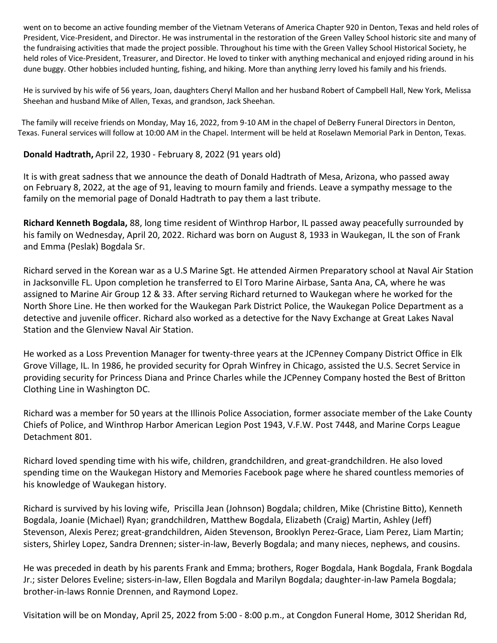went on to become an active founding member of the Vietnam Veterans of America Chapter 920 in Denton, Texas and held roles of President, Vice-President, and Director. He was instrumental in the restoration of the Green Valley School historic site and many of the fundraising activities that made the project possible. Throughout his time with the Green Valley School Historical Society, he held roles of Vice-President, Treasurer, and Director. He loved to tinker with anything mechanical and enjoyed riding around in his dune buggy. Other hobbies included hunting, fishing, and hiking. More than anything Jerry loved his family and his friends.

He is survived by his wife of 56 years, Joan, daughters Cheryl Mallon and her husband Robert of Campbell Hall, New York, Melissa Sheehan and husband Mike of Allen, Texas, and grandson, Jack Sheehan.

 The family will receive friends on Monday, May 16, 2022, from 9-10 AM in the chapel of DeBerry Funeral Directors in Denton, Texas. Funeral services will follow at 10:00 AM in the Chapel. Interment will be held at Roselawn Memorial Park in Denton, Texas.

## **Donald Hadtrath,** April 22, 1930 - February 8, 2022 (91 years old)

It is with great sadness that we announce the death of Donald Hadtrath of Mesa, Arizona, who passed away on February 8, 2022, at the age of 91, leaving to mourn family and friends. Leave a sympathy message to the family on the memorial page of Donald Hadtrath to pay them a last tribute.

**Richard Kenneth Bogdala,** 88, long time resident of Winthrop Harbor, IL passed away peacefully surrounded by his family on Wednesday, April 20, 2022. Richard was born on August 8, 1933 in Waukegan, IL the son of Frank and Emma (Peslak) Bogdala Sr.

Richard served in the Korean war as a U.S Marine Sgt. He attended Airmen Preparatory school at Naval Air Station in Jacksonville FL. Upon completion he transferred to El Toro Marine Airbase, Santa Ana, CA, where he was assigned to Marine Air Group 12 & 33. After serving Richard returned to Waukegan where he worked for the North Shore Line. He then worked for the Waukegan Park District Police, the Waukegan Police Department as a detective and juvenile officer. Richard also worked as a detective for the Navy Exchange at Great Lakes Naval Station and the Glenview Naval Air Station.

He worked as a Loss Prevention Manager for twenty-three years at the JCPenney Company District Office in Elk Grove Village, IL. In 1986, he provided security for Oprah Winfrey in Chicago, assisted the U.S. Secret Service in providing security for Princess Diana and Prince Charles while the JCPenney Company hosted the Best of Britton Clothing Line in Washington DC.

Richard was a member for 50 years at the Illinois Police Association, former associate member of the Lake County Chiefs of Police, and Winthrop Harbor American Legion Post 1943, V.F.W. Post 7448, and Marine Corps League Detachment 801.

Richard loved spending time with his wife, children, grandchildren, and great-grandchildren. He also loved spending time on the Waukegan History and Memories Facebook page where he shared countless memories of his knowledge of Waukegan history.

Richard is survived by his loving wife, Priscilla Jean (Johnson) Bogdala; children, Mike (Christine Bitto), Kenneth Bogdala, Joanie (Michael) Ryan; grandchildren, Matthew Bogdala, Elizabeth (Craig) Martin, Ashley (Jeff) Stevenson, Alexis Perez; great-grandchildren, Aiden Stevenson, Brooklyn Perez-Grace, Liam Perez, Liam Martin; sisters, Shirley Lopez, Sandra Drennen; sister-in-law, Beverly Bogdala; and many nieces, nephews, and cousins.

He was preceded in death by his parents Frank and Emma; brothers, Roger Bogdala, Hank Bogdala, Frank Bogdala Jr.; sister Delores Eveline; sisters-in-law, Ellen Bogdala and Marilyn Bogdala; daughter-in-law Pamela Bogdala; brother-in-laws Ronnie Drennen, and Raymond Lopez.

Visitation will be on Monday, April 25, 2022 from 5:00 - 8:00 p.m., at Congdon Funeral Home, 3012 Sheridan Rd,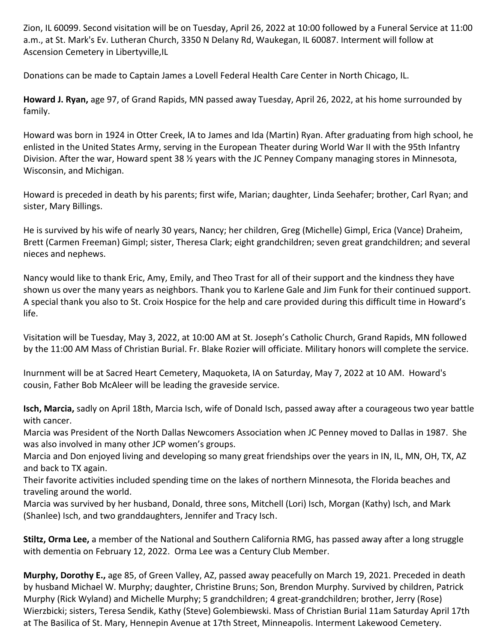Zion, IL 60099. Second visitation will be on Tuesday, April 26, 2022 at 10:00 followed by a Funeral Service at 11:00 a.m., at St. Mark's Ev. Lutheran Church, 3350 N Delany Rd, Waukegan, IL 60087. Interment will follow at Ascension Cemetery in Libertyville,IL

Donations can be made to Captain James a Lovell Federal Health Care Center in North Chicago, IL.

**Howard J. Ryan,** age 97, of Grand Rapids, MN passed away Tuesday, April 26, 2022, at his home surrounded by family.

Howard was born in 1924 in Otter Creek, IA to James and Ida (Martin) Ryan. After graduating from high school, he enlisted in the United States Army, serving in the European Theater during World War II with the 95th Infantry Division. After the war, Howard spent 38 ½ years with the JC Penney Company managing stores in Minnesota, Wisconsin, and Michigan.

Howard is preceded in death by his parents; first wife, Marian; daughter, Linda Seehafer; brother, Carl Ryan; and sister, Mary Billings.

He is survived by his wife of nearly 30 years, Nancy; her children, Greg (Michelle) Gimpl, Erica (Vance) Draheim, Brett (Carmen Freeman) Gimpl; sister, Theresa Clark; eight grandchildren; seven great grandchildren; and several nieces and nephews.

Nancy would like to thank Eric, Amy, Emily, and Theo Trast for all of their support and the kindness they have shown us over the many years as neighbors. Thank you to Karlene Gale and Jim Funk for their continued support. A special thank you also to St. Croix Hospice for the help and care provided during this difficult time in Howard's life.

Visitation will be Tuesday, May 3, 2022, at 10:00 AM at St. Joseph's Catholic Church, Grand Rapids, MN followed by the 11:00 AM Mass of Christian Burial. Fr. Blake Rozier will officiate. Military honors will complete the service.

Inurnment will be at Sacred Heart Cemetery, Maquoketa, IA on Saturday, May 7, 2022 at 10 AM. Howard's cousin, Father Bob McAleer will be leading the graveside service.

**Isch, Marcia,** sadly on April 18th, Marcia Isch, wife of Donald Isch, passed away after a courageous two year battle with cancer.

Marcia was President of the North Dallas Newcomers Association when JC Penney moved to Dallas in 1987. She was also involved in many other JCP women's groups.

Marcia and Don enjoyed living and developing so many great friendships over the years in IN, IL, MN, OH, TX, AZ and back to TX again.

Their favorite activities included spending time on the lakes of northern Minnesota, the Florida beaches and traveling around the world.

Marcia was survived by her husband, Donald, three sons, Mitchell (Lori) Isch, Morgan (Kathy) Isch, and Mark (Shanlee) Isch, and two granddaughters, Jennifer and Tracy Isch.

**Stiltz, Orma Lee,** a member of the National and Southern California RMG, has passed away after a long struggle with dementia on February 12, 2022. Orma Lee was a Century Club Member.

**Murphy, Dorothy E.,** age 85, of Green Valley, AZ, passed away peacefully on March 19, 2021. Preceded in death by husband Michael W. Murphy; daughter, Christine Bruns; Son, Brendon Murphy. Survived by children, Patrick Murphy (Rick Wyland) and Michelle Murphy; 5 grandchildren; 4 great-grandchildren; brother, Jerry (Rose) Wierzbicki; sisters, Teresa Sendik, Kathy (Steve) Golembiewski. Mass of Christian Burial 11am Saturday April 17th at The Basilica of St. Mary, Hennepin Avenue at 17th Street, Minneapolis. Interment Lakewood Cemetery.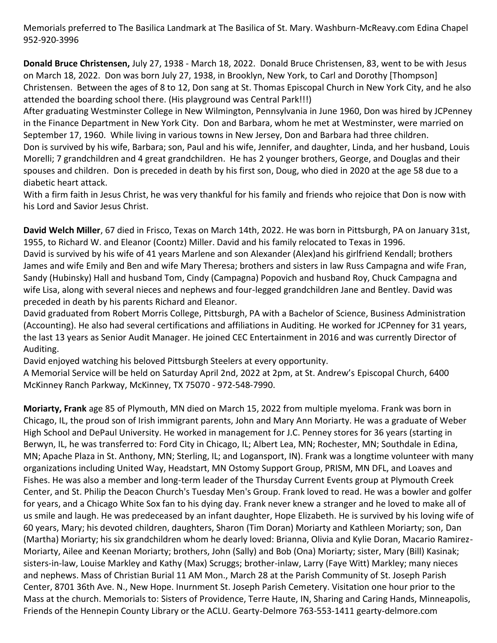Memorials preferred to The Basilica Landmark at The Basilica of St. Mary. Washburn-McReavy.com Edina Chapel 952-920-3996

**Donald Bruce Christensen,** July 27, 1938 - March 18, 2022. Donald Bruce Christensen, 83, went to be with Jesus on March 18, 2022. Don was born July 27, 1938, in Brooklyn, New York, to Carl and Dorothy [Thompson] Christensen. Between the ages of 8 to 12, Don sang at St. Thomas Episcopal Church in New York City, and he also attended the boarding school there. (His playground was Central Park!!!)

After graduating Westminster College in New Wilmington, Pennsylvania in June 1960, Don was hired by JCPenney in the Finance Department in New York City. Don and Barbara, whom he met at Westminster, were married on September 17, 1960. While living in various towns in New Jersey, Don and Barbara had three children. Don is survived by his wife, Barbara; son, Paul and his wife, Jennifer, and daughter, Linda, and her husband, Louis Morelli; 7 grandchildren and 4 great grandchildren. He has 2 younger brothers, George, and Douglas and their spouses and children. Don is preceded in death by his first son, Doug, who died in 2020 at the age 58 due to a diabetic heart attack.

With a firm faith in Jesus Christ, he was very thankful for his family and friends who rejoice that Don is now with his Lord and Savior Jesus Christ.

**David Welch Miller**, 67 died in Frisco, Texas on March 14th, 2022. He was born in Pittsburgh, PA on January 31st, 1955, to Richard W. and Eleanor (Coontz) Miller. David and his family relocated to Texas in 1996. David is survived by his wife of 41 years Marlene and son Alexander (Alex)and his girlfriend Kendall; brothers James and wife Emily and Ben and wife Mary Theresa; brothers and sisters in law Russ Campagna and wife Fran, Sandy (Hubinsky) Hall and husband Tom, Cindy (Campagna) Popovich and husband Roy, Chuck Campagna and wife Lisa, along with several nieces and nephews and four-legged grandchildren Jane and Bentley. David was preceded in death by his parents Richard and Eleanor.

David graduated from Robert Morris College, Pittsburgh, PA with a Bachelor of Science, Business Administration (Accounting). He also had several certifications and affiliations in Auditing. He worked for JCPenney for 31 years, the last 13 years as Senior Audit Manager. He joined CEC Entertainment in 2016 and was currently Director of Auditing.

David enjoyed watching his beloved Pittsburgh Steelers at every opportunity.

A Memorial Service will be held on Saturday April 2nd, 2022 at 2pm, at St. Andrew's Episcopal Church, 6400 McKinney Ranch Parkway, McKinney, TX 75070 - 972-548-7990.

**Moriarty, Frank** age 85 of Plymouth, MN died on March 15, 2022 from multiple myeloma. Frank was born in Chicago, IL, the proud son of Irish immigrant parents, John and Mary Ann Moriarty. He was a graduate of Weber High School and DePaul University. He worked in management for J.C. Penney stores for 36 years (starting in Berwyn, IL, he was transferred to: Ford City in Chicago, IL; Albert Lea, MN; Rochester, MN; Southdale in Edina, MN; Apache Plaza in St. Anthony, MN; Sterling, IL; and Logansport, IN). Frank was a longtime volunteer with many organizations including United Way, Headstart, MN Ostomy Support Group, PRISM, MN DFL, and Loaves and Fishes. He was also a member and long-term leader of the Thursday Current Events group at Plymouth Creek Center, and St. Philip the Deacon Church's Tuesday Men's Group. Frank loved to read. He was a bowler and golfer for years, and a Chicago White Sox fan to his dying day. Frank never knew a stranger and he loved to make all of us smile and laugh. He was predeceased by an infant daughter, Hope Elizabeth. He is survived by his loving wife of 60 years, Mary; his devoted children, daughters, Sharon (Tim Doran) Moriarty and Kathleen Moriarty; son, Dan (Martha) Moriarty; his six grandchildren whom he dearly loved: Brianna, Olivia and Kylie Doran, Macario Ramirez-Moriarty, Ailee and Keenan Moriarty; brothers, John (Sally) and Bob (Ona) Moriarty; sister, Mary (Bill) Kasinak; sisters-in-law, Louise Markley and Kathy (Max) Scruggs; brother-inlaw, Larry (Faye Witt) Markley; many nieces and nephews. Mass of Christian Burial 11 AM Mon., March 28 at the Parish Community of St. Joseph Parish Center, 8701 36th Ave. N., New Hope. Inurnment St. Joseph Parish Cemetery. Visitation one hour prior to the Mass at the church. Memorials to: Sisters of Providence, Terre Haute, IN, Sharing and Caring Hands, Minneapolis, Friends of the Hennepin County Library or the ACLU. Gearty-Delmore 763-553-1411 gearty-delmore.com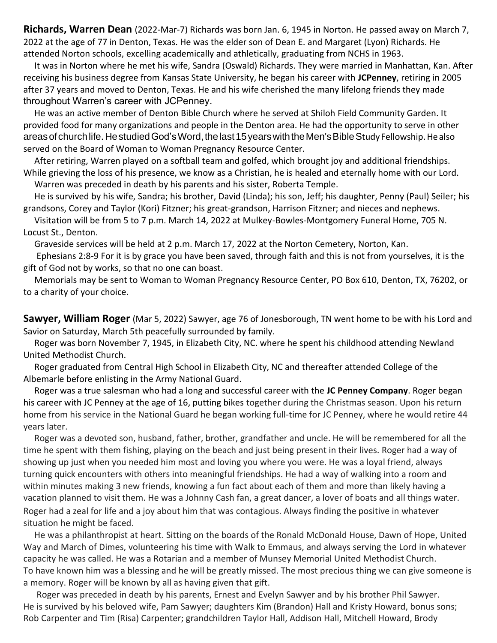**Richards, Warren Dean** (2022-Mar-7) Richards was born Jan. 6, 1945 in Norton. He passed away on March 7, 2022 at the age of 77 in Denton, Texas. He was the elder son of Dean E. and Margaret (Lyon) Richards. He attended Norton schools, excelling academically and athletically, graduating from NCHS in 1963.

It was in Norton where he met his wife, Sandra (Oswald) Richards. They were married in Manhattan, Kan. After receiving his business degree from Kansas State University, he began his career with **JCPenney**, retiring in 2005 after 37 years and moved to Denton, Texas. He and his wife cherished the many lifelong friends they made throughout Warren's career with JCPenney.

He was an active member of Denton Bible Church where he served at Shiloh Field Community Garden. It provided food for many organizations and people in the Denton area. He had the opportunity to serve in other areasofchurchlife.HestudiedGod'sWord,thelast15yearswiththeMen'sBibleStudy Fellowship.Healso served on the Board of Woman to Woman Pregnancy Resource Center.

After retiring, Warren played on a softball team and golfed, which brought joy and additional friendships. While grieving the loss of his presence, we know as a Christian, he is healed and eternally home with our Lord. Warren was preceded in death by his parents and his sister, Roberta Temple.

He is survived by his wife, Sandra; his brother, David (Linda); his son, Jeff; his daughter, Penny (Paul) Seiler; his grandsons, Corey and Taylor (Kori) Fitzner; his great-grandson, Harrison Fitzner; and nieces and nephews.

Visitation will be from 5 to 7 p.m. March 14, 2022 at Mulkey-Bowles-Montgomery Funeral Home, 705 N. Locust St., Denton.

Graveside services will be held at 2 p.m. March 17, 2022 at the Norton Cemetery, Norton, Kan.

Ephesians 2:8-9 For it is by grace you have been saved, through faith and this is not from yourselves, it is the gift of God not by works, so that no one can boast.

Memorials may be sent to Woman to Woman Pregnancy Resource Center, PO Box 610, Denton, TX, 76202, or to a charity of your choice.

**Sawyer, William Roger** (Mar 5, 2022) Sawyer, age 76 of Jonesborough, TN went home to be with his Lord and Savior on Saturday, March 5th peacefully surrounded by family.

Roger was born November 7, 1945, in Elizabeth City, NC. where he spent his childhood attending Newland United Methodist Church.

Roger graduated from Central High School in Elizabeth City, NC and thereafter attended College of the Albemarle before enlisting in the Army National Guard.

Roger was a true salesman who had a long and successful career with the **JC Penney Company**. Roger began his career with JC Penney at the age of 16, putting bikes together during the Christmas season. Upon his return home from his service in the National Guard he began working full-time for JC Penney, where he would retire 44 years later.

Roger was a devoted son, husband, father, brother, grandfather and uncle. He will be remembered for all the time he spent with them fishing, playing on the beach and just being present in their lives. Roger had a way of showing up just when you needed him most and loving you where you were. He was a loyal friend, always turning quick encounters with others into meaningful friendships. He had a way of walking into a room and within minutes making 3 new friends, knowing a fun fact about each of them and more than likely having a vacation planned to visit them. He was a Johnny Cash fan, a great dancer, a lover of boats and all things water. Roger had a zeal for life and a joy about him that was contagious. Always finding the positive in whatever situation he might be faced.

He was a philanthropist at heart. Sitting on the boards of the Ronald McDonald House, Dawn of Hope, United Way and March of Dimes, volunteering his time with Walk to Emmaus, and always serving the Lord in whatever capacity he was called. He was a Rotarian and a member of Munsey Memorial United Methodist Church. To have known him was a blessing and he will be greatly missed. The most precious thing we can give someone is a memory. Roger will be known by all as having given that gift.

Roger was preceded in death by his parents, Ernest and Evelyn Sawyer and by his brother Phil Sawyer. He is survived by his beloved wife, Pam Sawyer; daughters Kim (Brandon) Hall and Kristy Howard, bonus sons; Rob Carpenter and Tim (Risa) Carpenter; grandchildren Taylor Hall, Addison Hall, Mitchell Howard, Brody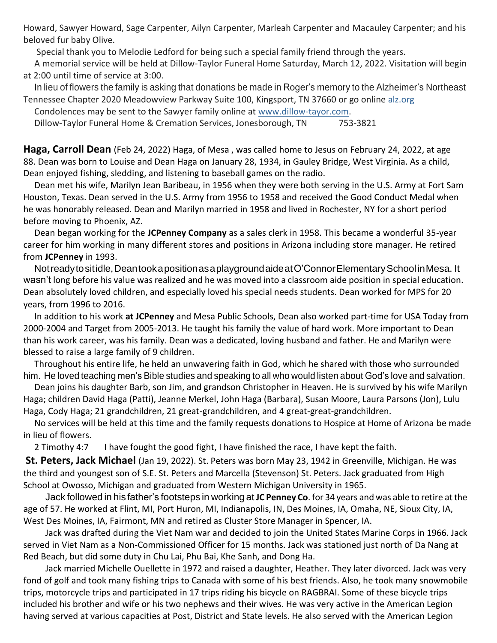Howard, Sawyer Howard, Sage Carpenter, Ailyn Carpenter, Marleah Carpenter and Macauley Carpenter; and his beloved fur baby Olive.

Special thank you to Melodie Ledford for being such a special family friend through the years.

A memorial service will be held at Dillow-Taylor Funeral Home Saturday, March 12, 2022. Visitation will begin at 2:00 until time of service at 3:00.

In lieu of flowers the family is asking that donations be made in Roger's memory to the Alzheimer's Northeast Tennessee Chapter 2020 Meadowview Parkway Suite 100, Kingsport, TN 37660 or go online [alz.org](http://alz.org/)

Condolences may be sent to the Sawyer family online at [www.dillow-tayor.com.](http://www.dillow-tayor.com/) Dillow-Taylor Funeral Home & Cremation Services, Jonesborough, TN 753-3821

**Haga, Carroll Dean** (Feb 24, 2022) Haga, of Mesa , was called home to Jesus on February 24, 2022, at age 88. Dean was born to Louise and Dean Haga on January 28, 1934, in Gauley Bridge, West Virginia. As a child, Dean enjoyed fishing, sledding, and listening to baseball games on the radio.

Dean met his wife, Marilyn Jean Baribeau, in 1956 when they were both serving in the U.S. Army at Fort Sam Houston, Texas. Dean served in the U.S. Army from 1956 to 1958 and received the Good Conduct Medal when he was honorably released. Dean and Marilyn married in 1958 and lived in Rochester, NY for a short period before moving to Phoenix, AZ.

Dean began working for the **JCPenney Company** as a sales clerk in 1958. This became a wonderful 35-year career for him working in many different stores and positions in Arizona including store manager. He retired from **JCPenney** in 1993.

Notreadytositidle,DeantookapositionasaplaygroundaideatO'ConnorElementarySchoolinMesa. It wasn't long before his value was realized and he was moved into a classroom aide position in special education. Dean absolutely loved children, and especially loved his special needs students. Dean worked for MPS for 20 years, from 1996 to 2016.

In addition to his work **at JCPenney** and Mesa Public Schools, Dean also worked part-time for USA Today from 2000-2004 and Target from 2005-2013. He taught his family the value of hard work. More important to Dean than his work career, was his family. Dean was a dedicated, loving husband and father. He and Marilyn were blessed to raise a large family of 9 children.

Throughout his entire life, he held an unwavering faith in God, which he shared with those who surrounded him. He loved teaching men's Bible studies and speaking to all who would listen about God's love and salvation.

Dean joins his daughter Barb, son Jim, and grandson Christopher in Heaven. He is survived by his wife Marilyn Haga; children David Haga (Patti), Jeanne Merkel, John Haga (Barbara), Susan Moore, Laura Parsons (Jon), Lulu Haga, Cody Haga; 21 grandchildren, 21 great-grandchildren, and 4 great-great-grandchildren.

No services will be held at this time and the family requests donations to Hospice at Home of Arizona be made in lieu of flowers.

2 Timothy 4:7 I have fought the good fight, I have finished the race, I have kept the faith.

**St. Peters, Jack Michael** (Jan 19, 2022). St. Peters was born May 23, 1942 in Greenville, Michigan. He was the third and youngest son of S.E. St. Peters and Marcella (Stevenson) St. Peters. Jack graduated from High School at Owosso, Michigan and graduated from Western Michigan University in 1965.

Jack followed in his father's footsteps in working at **JC Penney Co**. for 34 years and was able to retire atthe age of 57. He worked at Flint, MI, Port Huron, MI, Indianapolis, IN, Des Moines, IA, Omaha, NE, Sioux City, IA, West Des Moines, IA, Fairmont, MN and retired as Cluster Store Manager in Spencer, IA.

Jack was drafted during the Viet Nam war and decided to join the United States Marine Corps in 1966. Jack served in Viet Nam as a Non-Commissioned Officer for 15 months. Jack was stationed just north of Da Nang at Red Beach, but did some duty in Chu Lai, Phu Bai, Khe Sanh, and Dong Ha.

Jack married Michelle Ouellette in 1972 and raised a daughter, Heather. They later divorced. Jack was very fond of golf and took many fishing trips to Canada with some of his best friends. Also, he took many snowmobile trips, motorcycle trips and participated in 17 trips riding his bicycle on RAGBRAI. Some of these bicycle trips included his brother and wife or his two nephews and their wives. He was very active in the American Legion having served at various capacities at Post, District and State levels. He also served with the American Legion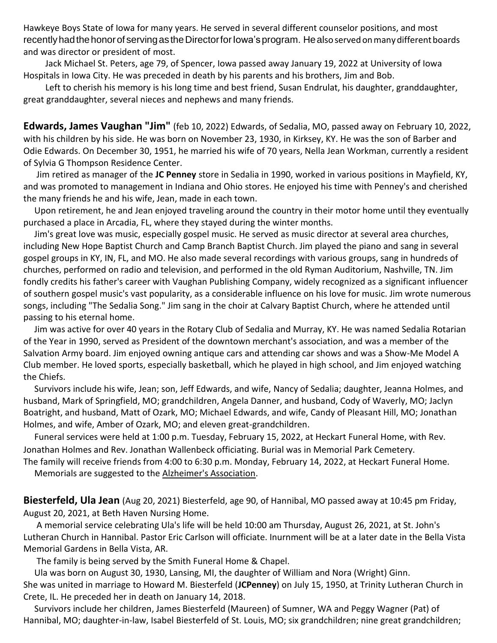Hawkeye Boys State of Iowa for many years. He served in several different counselor positions, and most recently had the honor of serving as the Director for Iowa's program. He also served on many different boards and was director or president of most.

Jack Michael St. Peters, age 79, of Spencer, Iowa passed away January 19, 2022 at University of Iowa Hospitals in Iowa City. He was preceded in death by his parents and his brothers, Jim and Bob.

Left to cherish his memory is his long time and best friend, Susan Endrulat, his daughter, granddaughter, great granddaughter, several nieces and nephews and many friends.

**Edwards, James Vaughan "Jim"** (feb 10, 2022) Edwards, of Sedalia, MO, passed away on February 10, 2022, with his children by his side. He was born on November 23, 1930, in Kirksey, KY. He was the son of Barber and Odie Edwards. On December 30, 1951, he married his wife of 70 years, Nella Jean Workman, currently a resident of Sylvia G Thompson Residence Center.

Jim retired as manager of the **JC Penney** store in Sedalia in 1990, worked in various positions in Mayfield, KY, and was promoted to management in Indiana and Ohio stores. He enjoyed his time with Penney's and cherished the many friends he and his wife, Jean, made in each town.

Upon retirement, he and Jean enjoyed traveling around the country in their motor home until they eventually purchased a place in Arcadia, FL, where they stayed during the winter months.

Jim's great love was music, especially gospel music. He served as music director at several area churches, including New Hope Baptist Church and Camp Branch Baptist Church. Jim played the piano and sang in several gospel groups in KY, IN, FL, and MO. He also made several recordings with various groups, sang in hundreds of churches, performed on radio and television, and performed in the old Ryman Auditorium, Nashville, TN. Jim fondly credits his father's career with Vaughan Publishing Company, widely recognized as a significant influencer of southern gospel music's vast popularity, as a considerable influence on his love for music. Jim wrote numerous songs, including "The Sedalia Song." Jim sang in the choir at Calvary Baptist Church, where he attended until passing to his eternal home.

Jim was active for over 40 years in the Rotary Club of Sedalia and Murray, KY. He was named Sedalia Rotarian of the Year in 1990, served as President of the downtown merchant's association, and was a member of the Salvation Army board. Jim enjoyed owning antique cars and attending car shows and was a Show-Me Model A Club member. He loved sports, especially basketball, which he played in high school, and Jim enjoyed watching the Chiefs.

Survivors include his wife, Jean; son, Jeff Edwards, and wife, Nancy of Sedalia; daughter, Jeanna Holmes, and husband, Mark of Springfield, MO; grandchildren, Angela Danner, and husband, Cody of Waverly, MO; Jaclyn Boatright, and husband, Matt of Ozark, MO; Michael Edwards, and wife, Candy of Pleasant Hill, MO; Jonathan Holmes, and wife, Amber of Ozark, MO; and eleven great-grandchildren.

Funeral services were held at 1:00 p.m. Tuesday, February 15, 2022, at Heckart Funeral Home, with Rev. Jonathan Holmes and Rev. Jonathan Wallenbeck officiating. Burial was in Memorial Park Cemetery. The family will receive friends from 4:00 to 6:30 p.m. Monday, February 14, 2022, at Heckart Funeral Home.

Memorials are suggested to the [Alzheimer's Association.](http://act.alz.org/site/Donation2?df_id=34718&mfc_pref=T&34718.donation=form1&set.TributeType=MEMORIAL&set.custom.honoree_name=James%20Edwards&set.TributeMessage=A%20gift%20has%20been%20made%20in%20remembrance%20of%20James%20Edwards)

**Biesterfeld, Ula Jean** (Aug 20, 2021) Biesterfeld, age 90, of Hannibal, MO passed away at 10:45 pm Friday, August 20, 2021, at Beth Haven Nursing Home.

A memorial service celebrating Ula's life will be held 10:00 am Thursday, August 26, 2021, at St. John's Lutheran Church in Hannibal. Pastor Eric Carlson will officiate. Inurnment will be at a later date in the Bella Vista Memorial Gardens in Bella Vista, AR.

The family is being served by the Smith Funeral Home & Chapel.

Ula was born on August 30, 1930, Lansing, MI, the daughter of William and Nora (Wright) Ginn. She was united in marriage to Howard M. Biesterfeld (**JCPenney**) on July 15, 1950, at Trinity Lutheran Church in Crete, IL. He preceded her in death on January 14, 2018.

Survivors include her children, James Biesterfeld (Maureen) of Sumner, WA and Peggy Wagner (Pat) of Hannibal, MO; daughter-in-law, Isabel Biesterfeld of St. Louis, MO; six grandchildren; nine great grandchildren;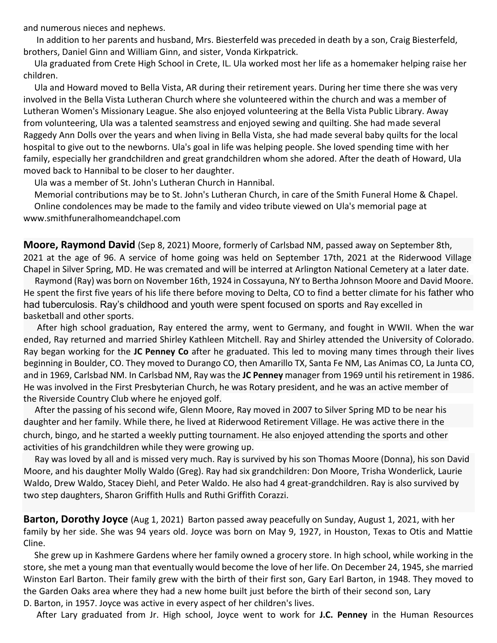and numerous nieces and nephews.

In addition to her parents and husband, Mrs. Biesterfeld was preceded in death by a son, Craig Biesterfeld, brothers, Daniel Ginn and William Ginn, and sister, Vonda Kirkpatrick.

Ula graduated from Crete High School in Crete, IL. Ula worked most her life as a homemaker helping raise her children.

Ula and Howard moved to Bella Vista, AR during their retirement years. During her time there she was very involved in the Bella Vista Lutheran Church where she volunteered within the church and was a member of Lutheran Women's Missionary League. She also enjoyed volunteering at the Bella Vista Public Library. Away from volunteering, Ula was a talented seamstress and enjoyed sewing and quilting. She had made several Raggedy Ann Dolls over the years and when living in Bella Vista, she had made several baby quilts for the local hospital to give out to the newborns. Ula's goal in life was helping people. She loved spending time with her family, especially her grandchildren and great grandchildren whom she adored. After the death of Howard, Ula moved back to Hannibal to be closer to her daughter.

Ula was a member of St. John's Lutheran Church in Hannibal.

Memorial contributions may be to St. John's Lutheran Church, in care of the Smith Funeral Home & Chapel. Online condolences may be made to the family and video tribute viewed on Ula's memorial page a[t](http://www.smithfuneralhomeandchapel.com/) [www.smithfuneralhomeandchapel.com](http://www.smithfuneralhomeandchapel.com/)

Chapel in Silver Spring, MD. He was cremated and will be interred at Arlington National Cemetery at a later date. **Moore, Raymond David** (Sep 8, 2021) Moore, formerly of Carlsbad NM, passed away on September 8th, 2021 at the age of 96. A service of home going was held on September 17th, 2021 at the Riderwood Village

basketball and other sports. Raymond (Ray) was born on November 16th, 1924 in Cossayuna, NY to Bertha Johnson Moore and David Moore. He spent the first five years of his life there before moving to Delta, CO to find a better climate for his father who had tuberculosis. Ray's childhood and youth were spent focused on sports and Ray excelled in

the Riverside Country Club where he enjoyed golf. After high school graduation, Ray entered the army, went to Germany, and fought in WWII. When the war ended, Ray returned and married Shirley Kathleen Mitchell. Ray and Shirley attended the University of Colorado. Ray began working for the **JC Penney Co** after he graduated. This led to moving many times through their lives beginning in Boulder, CO. They moved to Durango CO, then Amarillo TX, Santa Fe NM, Las Animas CO, La Junta CO, and in 1969, Carlsbad NM. In Carlsbad NM, Ray was the **JC Penney** manager from 1969 until his retirement in 1986. He was involved in the First Presbyterian Church, he was Rotary president, and he was an active member of

church, bingo, and he started a weekly putting tournament. He also enjoyed attending the sports and other activities of his grandchildren while they were growing up. After the passing of his second wife, Glenn Moore, Ray moved in 2007 to Silver Spring MD to be near his daughter and her family. While there, he lived at Riderwood Retirement Village. He was active there in the

Ray was loved by all and is missed very much. Ray is survived by his son Thomas Moore (Donna), his son David Moore, and his daughter Molly Waldo (Greg). Ray had six grandchildren: Don Moore, Trisha Wonderlick, Laurie Waldo, Drew Waldo, Stacey Diehl, and Peter Waldo. He also had 4 great-grandchildren. Ray is also survived by two step daughters, Sharon Griffith Hulls and Ruthi Griffith Corazzi.

**Barton, Dorothy Joyce** (Aug 1, 2021) Barton passed away peacefully on Sunday, August 1, 2021, with her family by her side. She was 94 years old. Joyce was born on May 9, 1927, in Houston, Texas to Otis and Mattie Cline.

She grew up in Kashmere Gardens where her family owned a grocery store. In high school, while working in the store, she met a young man that eventually would become the love of her life. On December 24, 1945, she married Winston Earl Barton. Their family grew with the birth of their first son, Gary Earl Barton, in 1948. They moved to the Garden Oaks area where they had a new home built just before the birth of their second son, Lary D. Barton, in 1957. Joyce was active in every aspect of her children's lives.

After Lary graduated from Jr. High school, Joyce went to work for **J.C. Penney** in the Human Resources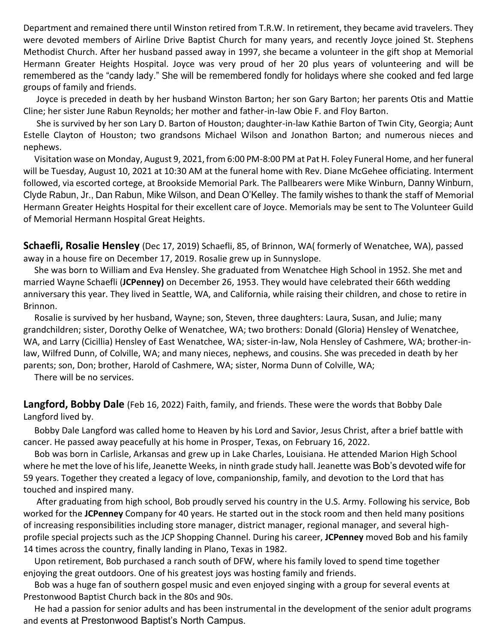Department and remained there until Winston retired from T.R.W. In retirement, they became avid travelers. They were devoted members of Airline Drive Baptist Church for many years, and recently Joyce joined St. Stephens Methodist Church. After her husband passed away in 1997, she became a volunteer in the gift shop at Memorial Hermann Greater Heights Hospital. Joyce was very proud of her 20 plus years of volunteering and will be remembered as the "candy lady." She will be remembered fondly for holidays where she cooked and fed large groups of family and friends.

Joyce is preceded in death by her husband Winston Barton; her son Gary Barton; her parents Otis and Mattie Cline; her sister June Rabun Reynolds; her mother and father-in-law Obie F. and Floy Barton.

She is survived by her son Lary D. Barton of Houston; daughter-in-law Kathie Barton of Twin City, Georgia; Aunt Estelle Clayton of Houston; two grandsons Michael Wilson and Jonathon Barton; and numerous nieces and nephews.

Visitation wase on Monday, August 9, 2021, from 6:00 PM-8:00 PM at Pat H. Foley Funeral Home, and her funeral will be Tuesday, August 10, 2021 at 10:30 AM at the funeral home with Rev. Diane McGehee officiating. Interment followed, via escorted cortege, at Brookside Memorial Park. The Pallbearers were Mike Winburn, Danny Winburn, Clyde Rabun, Jr., Dan Rabun, Mike Wilson, and Dean O'Kelley. The family wishes to thank the staff of Memorial Hermann Greater Heights Hospital for their excellent care of Joyce. Memorials may be sent to The Volunteer Guild of Memorial Hermann Hospital Great Heights.

**Schaefli, Rosalie Hensley** (Dec 17, 2019) Schaefli, 85, of Brinnon, WA( formerly of Wenatchee, WA), passed away in a house fire on December 17, 2019. Rosalie grew up in Sunnyslope.

She was born to William and Eva Hensley. She graduated from Wenatchee High School in 1952. She met and married Wayne Schaefli (**JCPenney)** on December 26, 1953. They would have celebrated their 66th wedding anniversary this year. They lived in Seattle, WA, and California, while raising their children, and chose to retire in Brinnon.

Rosalie is survived by her husband, Wayne; son, Steven, three daughters: Laura, Susan, and Julie; many grandchildren; sister, Dorothy Oelke of Wenatchee, WA; two brothers: Donald (Gloria) Hensley of Wenatchee, WA, and Larry (Cicillia) Hensley of East Wenatchee, WA; sister-in-law, Nola Hensley of Cashmere, WA; brother-inlaw, Wilfred Dunn, of Colville, WA; and many nieces, nephews, and cousins. She was preceded in death by her parents; son, Don; brother, Harold of Cashmere, WA; sister, Norma Dunn of Colville, WA;

There will be no services.

**Langford, Bobby Dale** (Feb 16, 2022) Faith, family, and friends. These were the words that Bobby Dale Langford lived by.

Bobby Dale Langford was called home to Heaven by his Lord and Savior, Jesus Christ, after a brief battle with cancer. He passed away peacefully at his home in Prosper, Texas, on February 16, 2022.

Bob was born in Carlisle, Arkansas and grew up in Lake Charles, Louisiana. He attended Marion High School where he met the love of hislife, Jeanette Weeks, in ninth grade study hall. Jeanette was Bob's devoted wife for 59 years. Together they created a legacy of love, companionship, family, and devotion to the Lord that has touched and inspired many.

After graduating from high school, Bob proudly served his country in the U.S. Army. Following his service, Bob worked for the **JCPenney** Company for 40 years. He started out in the stock room and then held many positions of increasing responsibilities including store manager, district manager, regional manager, and several highprofile special projects such as the JCP Shopping Channel. During his career, **JCPenney** moved Bob and his family 14 times across the country, finally landing in Plano, Texas in 1982.

Upon retirement, Bob purchased a ranch south of DFW, where his family loved to spend time together enjoying the great outdoors. One of his greatest joys was hosting family and friends.

Bob was a huge fan of southern gospel music and even enjoyed singing with a group for several events at Prestonwood Baptist Church back in the 80s and 90s.

He had a passion for senior adults and has been instrumental in the development of the senior adult programs and events at Prestonwood Baptist's North Campus.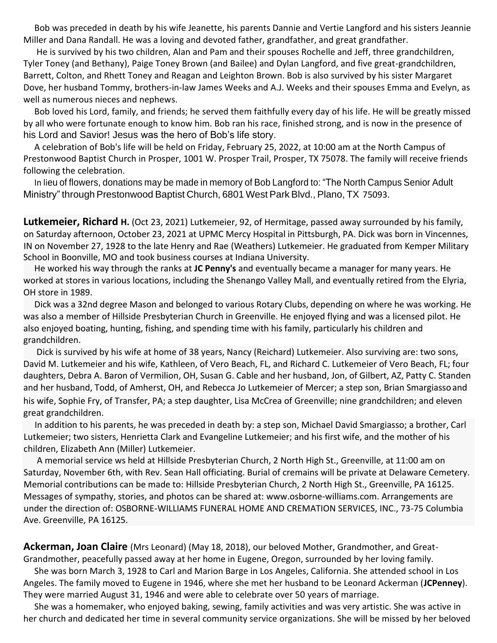Bob was preceded in death by his wife Jeanette, his parents Dannie and Vertie Langford and his sisters Jeannie Miller and Dana Randall. He was a loving and devoted father, grandfather, and great grandfather.

He is survived by his two children, Alan and Pam and their spouses Rochelle and Jeff, three grandchildren, Tyler Toney (and Bethany), Paige Toney Brown (and Bailee) and Dylan Langford, and five great-grandchildren, Barrett, Colton, and Rhett Toney and Reagan and Leighton Brown. Bob is also survived by his sister Margaret Dove, her husband Tommy, brothers-in-law James Weeks and A.J. Weeks and their spouses Emma and Evelyn, as well as numerous nieces and nephews.

Bob loved his Lord, family, and friends; he served them faithfully every day of his life. He will be greatly missed by all who were fortunate enough to know him. Bob ran his race, finished strong, and is now in the presence of his Lord and Savior! Jesus was the hero of Bob's life story.

A celebration of Bob's life will be held on Friday, February 25, 2022, at 10:00 am at the North Campus of Prestonwood Baptist Church in Prosper, 1001 W. Prosper Trail, Prosper, TX 75078. The family will receive friends following the celebration.

In lieu of flowers, donations may be made in memory of Bob Langford to: "The North Campus Senior Adult Ministry" through Prestonwood Baptist Church, 6801 West Park Blvd., Plano, TX 75093.

**Lutkemeier, Richard H.** (Oct 23, 2021) Lutkemeier, 92, of Hermitage, passed away surrounded by his family, School in Boonville, MO and took business courses at Indiana University. on Saturday afternoon, October 23, 2021 at UPMC Mercy Hospital in Pittsburgh, PA. Dick was born in Vincennes, IN on November 27, 1928 to the late Henry and Rae (Weathers) Lutkemeier. He graduated from Kemper Military

He worked his way through the ranks at **JC Penny's** and eventually became a manager for many years. He worked at stores in various locations, including the Shenango Valley Mall, and eventually retired from the Elyria, OH store in 1989.

Dick was a 32nd degree Mason and belonged to various Rotary Clubs, depending on where he was working. He was also a member of Hillside Presbyterian Church in Greenville. He enjoyed flying and was a licensed pilot. He also enjoyed boating, hunting, fishing, and spending time with his family, particularly his children and grandchildren.

Dick is survived by his wife at home of 38 years, Nancy (Reichard) Lutkemeier. Also surviving are: two sons, David M. Lutkemeier and his wife, Kathleen, of Vero Beach, FL, and Richard C. Lutkemeier of Vero Beach, FL; four daughters, Debra A. Baron of Vermilion, OH, Susan G. Cable and her husband, Jon, of Gilbert, AZ, Patty C. Standen and her husband, Todd, of Amherst, OH, and Rebecca Jo Lutkemeier of Mercer; a step son, Brian Smargiassoand his wife, Sophie Fry, of Transfer, PA; a step daughter, Lisa McCrea of Greenville; nine grandchildren; and eleven great grandchildren.

In addition to his parents, he was preceded in death by: a step son, Michael David Smargiasso; a brother, Carl Lutkemeier; two sisters, Henrietta Clark and Evangeline Lutkemeier; and his first wife, and the mother of his children, Elizabeth Ann (Miller) Lutkemeier.

A memorial service ws held at Hillside Presbyterian Church, 2 North High St., Greenville, at 11:00 am on Saturday, November 6th, with Rev. Sean Hall officiating. Burial of cremains will be private at Delaware Cemetery. Memorial contributions can be made to: Hillside Presbyterian Church, 2 North High St., Greenville, PA 16125. Messages of sympathy, stories, and photos can be shared at: [www.osborne-williams.com. A](http://www.osborne-williams.com/)rrangements are under the direction of: OSBORNE-WILLIAMS FUNERAL HOME AND CREMATION SERVICES, INC., 73-75 Columbia Ave. Greenville, PA 16125.

**Ackerman, Joan Claire** (Mrs Leonard) (May 18, 2018), our beloved Mother, Grandmother, and Great-Grandmother, peacefully passed away at her home in Eugene, Oregon, surrounded by her loving family.

She was born March 3, 1928 to Carl and Marion Barge in Los Angeles, California. She attended school in Los Angeles. The family moved to Eugene in 1946, where she met her husband to be Leonard Ackerman (**JCPenney**). They were married August 31, 1946 and were able to celebrate over 50 years of marriage.

She was a homemaker, who enjoyed baking, sewing, family activities and was very artistic. She was active in her church and dedicated her time in several community service organizations. She will be missed by her beloved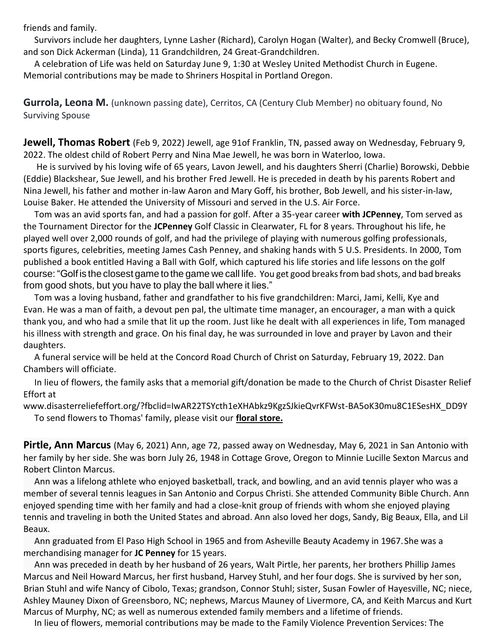friends and family.

Survivors include her daughters, Lynne Lasher (Richard), Carolyn Hogan (Walter), and Becky Cromwell (Bruce), and son Dick Ackerman (Linda), 11 Grandchildren, 24 Great-Grandchildren.

A celebration of Life was held on Saturday June 9, 1:30 at Wesley United Methodist Church in Eugene. Memorial contributions may be made to Shriners Hospital in Portland Oregon.

**Gurrola, Leona M.** (unknown passing date), Cerritos, CA (Century Club Member) no obituary found, No Surviving Spouse

**Jewell, Thomas Robert** (Feb 9, 2022) Jewell, age 91of Franklin, TN, passed away on Wednesday, February 9, 2022. The oldest child of Robert Perry and Nina Mae Jewell, he was born in Waterloo, Iowa.

He is survived by his loving wife of 65 years, Lavon Jewell, and his daughters Sherri (Charlie) Borowski, Debbie (Eddie) Blackshear, Sue Jewell, and his brother Fred Jewell. He is preceded in death by his parents Robert and Nina Jewell, his father and mother in-law Aaron and Mary Goff, his brother, Bob Jewell, and his sister-in-law, Louise Baker. He attended the University of Missouri and served in the U.S. Air Force.

Tom was an avid sports fan, and had a passion for golf. After a 35-year career **with JCPenney**, Tom served as the Tournament Director for the **JCPenney** Golf Classic in Clearwater, FL for 8 years. Throughout his life, he played well over 2,000 rounds of golf, and had the privilege of playing with numerous golfing professionals, sports figures, celebrities, meeting James Cash Penney, and shaking hands with 5 U.S. Presidents. In 2000, Tom published a book entitled Having a Ball with Golf, which captured his life stories and life lessons on the golf course: "Golf is the closest game to the game we call life. You get good breaksfrombad shots, and bad breaks from good shots, but you have to play the ball where it lies."

Tom was a loving husband, father and grandfather to his five grandchildren: Marci, Jami, Kelli, Kye and Evan. He was a man of faith, a devout pen pal, the ultimate time manager, an encourager, a man with a quick thank you, and who had a smile that lit up the room. Just like he dealt with all experiences in life, Tom managed his illness with strength and grace. On his final day, he was surrounded in love and prayer by Lavon and their daughters.

A funeral service will be held at the Concord Road Church of Christ on Saturday, February 19, 2022. Dan Chambers will officiate.

In lieu of flowers, the family asks that a memorial gift/donation be made to the Church of Christ Disaster Relief Effort at

[www.disasterreliefeffort.org/?fbclid=IwAR22TSYcth1eXHAbkz9KgzSJkieQvrKFWst-BA5oK30mu8C1ESesHX\\_DD9Y](http://www.disasterreliefeffort.org/?fbclid=IwAR22TSYcth1eXHAbkz9KgzSJkieQvrKFWst-BA5oK30mu8C1ESesHX_DD9Y) To send flowers to Thomas' family, please visit our **[floral store.](https://www.williamsonmemorial.com/obituary/Thomas-Jewell/sympathy)**

**Pirtle, Ann Marcus** (May 6, 2021) Ann, age 72, passed away on Wednesday, May 6, 2021 in San Antonio with her family by her side. She was born July 26, 1948 in Cottage Grove, Oregon to Minnie Lucille Sexton Marcus and Robert Clinton Marcus.

Ann was a lifelong athlete who enjoyed basketball, track, and bowling, and an avid tennis player who was a member of several tennis leagues in San Antonio and Corpus Christi. She attended Community Bible Church. Ann enjoyed spending time with her family and had a close-knit group of friends with whom she enjoyed playing tennis and traveling in both the United States and abroad. Ann also loved her dogs, Sandy, Big Beaux, Ella, and Lil Beaux.

Ann graduated from El Paso High School in 1965 and from Asheville Beauty Academy in 1967.She was a merchandising manager for **JC Penney** for 15 years.

Ann was preceded in death by her husband of 26 years, Walt Pirtle, her parents, her brothers Phillip James Marcus and Neil Howard Marcus, her first husband, Harvey Stuhl, and her four dogs. She is survived by her son, Marcus of Murphy, NC; as well as numerous extended family members and a lifetime of friends. Brian Stuhl and wife Nancy of Cibolo, Texas; grandson, Connor Stuhl; sister, Susan Fowler of Hayesville, NC; niece, Ashley Mauney Dixon of Greensboro, NC; nephews, Marcus Mauney of Livermore, CA, and Keith Marcus and Kurt

In lieu of flowers, memorial contributions may be made to the Family Violence Prevention Services: The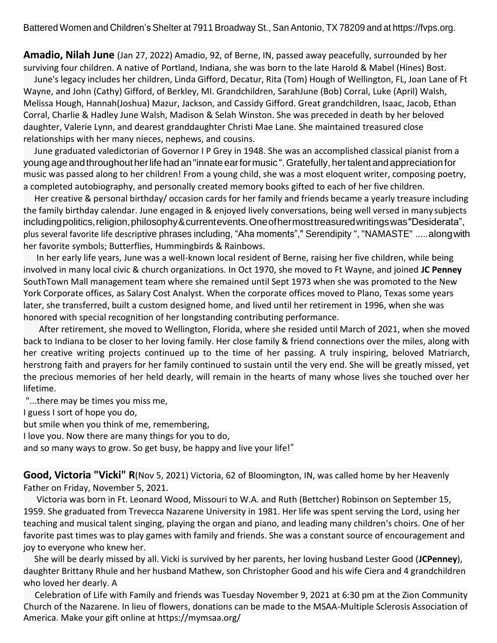Battered Women and Children's Shelter at 7911 Broadway St., San Antonio, TX 78209 and at https://fvps.org.

**Amadio, Nilah June** (Jan 27, 2022) Amadio, 92, of Berne, IN, passed away peacefully, surrounded by her surviving four children. A native of Portland, Indiana, she was born to the late Harold & Mabel (Hines) Bost.

June's legacy includes her children, Linda Gifford, Decatur, Rita (Tom) Hough of Wellington, FL, Joan Lane of Ft Wayne, and John (Cathy) Gifford, of Berkley, MI. Grandchildren, SarahJune (Bob) Corral, Luke (April) Walsh, Melissa Hough, Hannah(Joshua) Mazur, Jackson, and Cassidy Gifford. Great grandchildren, Isaac, Jacob, Ethan Corral, Charlie & Hadley June Walsh, Madison & Selah Winston. She was preceded in death by her beloved daughter, Valerie Lynn, and dearest granddaughter Christi Mae Lane. She maintained treasured close relationships with her many nieces, nephews, and cousins.

June graduated valedictorian of Governor I P Grey in 1948. She was an accomplished classical pianist from a youngageandthroughoutherlifehad an"innateearformusic ".Gratefully, hertalentandappreciationfor music was passed along to her children! From a young child, she was a most eloquent writer, composing poetry, a completed autobiography, and personally created memory books gifted to each of her five children.

Her creative & personal birthday/ occasion cards for her family and friends became a yearly treasure including the family birthday calendar. June engaged in & enjoyed lively conversations, being well versed in many subjects including politics, religion, philosophy & currentevents. One of hermost treasured writings was "Desiderata", plus several favorite life descriptive phrases including, "Aha moments"," Serendipity ", "NAMASTE" .....alongwith her favorite symbols; Butterflies, Hummingbirds & Rainbows.

In her early life years, June was a well-known local resident of Berne, raising her five children, while being involved in many local civic & church organizations. In Oct 1970, she moved to Ft Wayne, and joined **JC Penney** SouthTown Mall management team where she remained until Sept 1973 when she was promoted to the New York Corporate offices, as Salary Cost Analyst. When the corporate offices moved to Plano, Texas some years later, she transferred, built a custom designed home, and lived until her retirement in 1996, when she was honored with special recognition of her longstanding contributing performance.

 After retirement, she moved to Wellington, Florida, where she resided until March of 2021, when she moved back to Indiana to be closer to her loving family. Her close family & friend connections over the miles, along with her creative writing projects continued up to the time of her passing. A truly inspiring, beloved Matriarch, herstrong faith and prayers for her family continued to sustain until the very end. She will be greatly missed, yet the precious memories of her held dearly, will remain in the hearts of many whose lives she touched over her lifetime.

"...there may be times you miss me,

I guess I sort of hope you do,

but smile when you think of me, remembering,

I love you. Now there are many things for you to do,

and so many ways to grow. So get busy, be happy and live your life!"

**Good, Victoria "Vicki" R**(Nov 5, 2021) Victoria, 62 of Bloomington, IN, was called home by her Heavenly Father on Friday, November 5, 2021.

Victoria was born in Ft. Leonard Wood, Missouri to W.A. and Ruth (Bettcher) Robinson on September 15, 1959. She graduated from Trevecca Nazarene University in 1981. Her life was spent serving the Lord, using her teaching and musical talent singing, playing the organ and piano, and leading many children's choirs. One of her favorite past times was to play games with family and friends. She was a constant source of encouragement and joy to everyone who knew her.

She will be dearly missed by all. Vicki is survived by her parents, her loving husband Lester Good (**JCPenney**), daughter Brittany Rhule and her husband Mathew, son Christopher Good and his wife Ciera and 4 grandchildren who loved her dearly. A

America. Make your gift online at https://mymsaa.org/ Celebration of Life with Family and friends was Tuesday November 9, 2021 at 6:30 pm at the Zion Community Church of the Nazarene. In lieu of flowers, donations can be made to the MSAA-Multiple Sclerosis Association of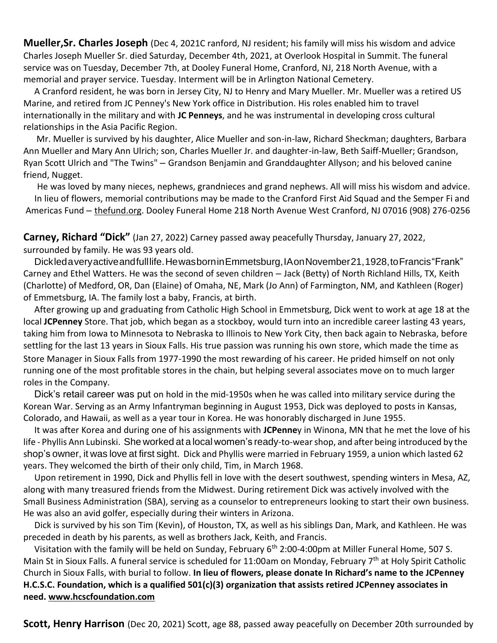**Mueller,Sr. Charles Joseph** (Dec 4, 2021C ranford, NJ resident; his family will miss his wisdom and advice Charles Joseph Mueller Sr. died Saturday, December 4th, 2021, at Overlook Hospital in Summit. The funeral service was on Tuesday, December 7th, at Dooley Funeral Home, Cranford, NJ, 218 North Avenue, with a memorial and prayer service. Tuesday. Interment will be in Arlington National Cemetery.

A Cranford resident, he was born in Jersey City, NJ to Henry and Mary Mueller. Mr. Mueller was a retired US Marine, and retired from JC Penney's New York office in Distribution. His roles enabled him to travel internationally in the military and with **JC Penneys**, and he was instrumental in developing cross cultural relationships in the Asia Pacific Region.

Mr. Mueller is survived by his daughter, Alice Mueller and son-in-law, Richard Sheckman; daughters, Barbara Ann Mueller and Mary Ann Ulrich; son, Charles Mueller Jr. and daughter-in-law, Beth Saiff-Mueller; Grandson, Ryan Scott Ulrich and "The Twins" – Grandson Benjamin and Granddaughter Allyson; and his beloved canine friend, Nugget.

He was loved by many nieces, nephews, grandnieces and grand nephews. All will miss his wisdom and advice. In lieu of flowers, memorial contributions may be made to the Cranford First Aid Squad and the Semper Fi and Americas Fund – [thefund.org.](http://thefund.org/) Dooley Funeral Home 218 North Avenue West Cranford, NJ 07016 (908) 276-0256

**Carney, Richard "Dick"** (Jan 27, 2022) Carney passed away peacefully Thursday, January 27, 2022, surrounded by family. He was 93 years old.

Dickledaveryactiveandfulllife.HewasborninEmmetsburg,IAonNovember21,1928,toFrancis"Frank" Carney and Ethel Watters. He was the second of seven children – Jack (Betty) of North Richland Hills, TX, Keith (Charlotte) of Medford, OR, Dan (Elaine) of Omaha, NE, Mark (Jo Ann) of Farmington, NM, and Kathleen (Roger) of Emmetsburg, IA. The family lost a baby, Francis, at birth.

After growing up and graduating from Catholic High School in Emmetsburg, Dick went to work at age 18 at the local **JCPenney** Store. That job, which began as a stockboy, would turn into an incredible career lasting 43 years, taking him from Iowa to Minnesota to Nebraska to Illinois to New York City, then back again to Nebraska, before settling for the last 13 years in Sioux Falls. His true passion was running his own store, which made the time as Store Manager in Sioux Falls from 1977-1990 the most rewarding of his career. He prided himself on not only running one of the most profitable stores in the chain, but helping several associates move on to much larger roles in the Company.

Dick's retail career was put on hold in the mid-1950s when he was called into military service during the Korean War. Serving as an Army Infantryman beginning in August 1953, Dick was deployed to posts in Kansas, Colorado, and Hawaii, as well as a year tour in Korea. He was honorably discharged in June 1955.

It was after Korea and during one of his assignments with **JCPenne**y in Winona, MN that he met the love of his life - Phyllis Ann Lubinski. She worked at a local women's ready-to-wearshop, and after being introduced by the shop's owner, it was love at first sight. Dick and Phyllis were married in February 1959, a union which lasted 62 years. They welcomed the birth of their only child, Tim, in March 1968.

Upon retirement in 1990, Dick and Phyllis fell in love with the desert southwest, spending winters in Mesa, AZ, along with many treasured friends from the Midwest. During retirement Dick was actively involved with the Small Business Administration (SBA), serving as a counselor to entrepreneurs looking to start their own business. He was also an avid golfer, especially during their winters in Arizona.

Dick is survived by his son Tim (Kevin), of Houston, TX, as well as his siblings Dan, Mark, and Kathleen. He was preceded in death by his parents, as well as brothers Jack, Keith, and Francis.

Visitation with the family will be held on Sunday, February 6<sup>th</sup> 2:00-4:00pm at Miller Funeral Home, 507 S. Main St in Sioux Falls. A funeral service is scheduled for 11:00am on Monday, February 7<sup>th</sup> at Holy Spirit Catholic Church in Sioux Falls, with burial to follow. **In lieu of flowers, please donate In Richard's name to the JCPenney H.C.S.C. Foundation, which is a qualified 501(c)(3) organization that assists retired JCPenney associates in need. [www.hcscfoundation.com](http://www.hcscfoundation.com/)**

**Scott, Henry Harrison** (Dec 20, 2021) Scott, age 88, passed away peacefully on December 20th surrounded by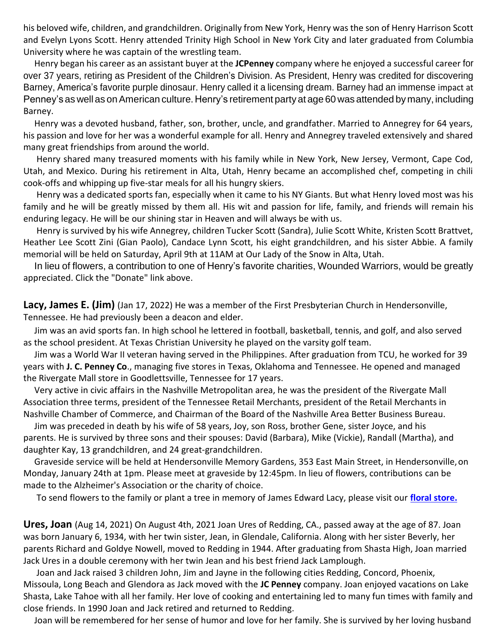his beloved wife, children, and grandchildren. Originally from New York, Henry was the son of Henry Harrison Scott and Evelyn Lyons Scott. Henry attended Trinity High School in New York City and later graduated from Columbia University where he was captain of the wrestling team.

Henry began his career as an assistant buyer at the **JCPenney** company where he enjoyed a successful career for over 37 years, retiring as President of the Children's Division. As President, Henry was credited for discovering Barney, America's favorite purple dinosaur. Henry called it a licensing dream. Barney had an immense impact at Penney's as well as onAmerican culture. Henry's retirement party at age 60 was attended by many, including Barney.

Henry was a devoted husband, father, son, brother, uncle, and grandfather. Married to Annegrey for 64 years, his passion and love for her was a wonderful example for all. Henry and Annegrey traveled extensively and shared many great friendships from around the world.

Henry shared many treasured moments with his family while in New York, New Jersey, Vermont, Cape Cod, Utah, and Mexico. During his retirement in Alta, Utah, Henry became an accomplished chef, competing in chili cook-offs and whipping up five-star meals for all his hungry skiers.

Henry was a dedicated sports fan, especially when it came to his NY Giants. But what Henry loved most was his family and he will be greatly missed by them all. His wit and passion for life, family, and friends will remain his enduring legacy. He will be our shining star in Heaven and will always be with us.

Henry is survived by his wife Annegrey, children Tucker Scott (Sandra), Julie Scott White, Kristen Scott Brattvet, Heather Lee Scott Zini (Gian Paolo), Candace Lynn Scott, his eight grandchildren, and his sister Abbie. A family memorial will be held on Saturday, April 9th at 11AM at Our Lady of the Snow in Alta, Utah.

In lieu of flowers, a contribution to one of Henry's favorite charities, Wounded Warriors, would be greatly appreciated. Click the "Donate" link above.

**Lacy, James E. (Jim)** (Jan 17, 2022) He was a member of the First Presbyterian Church in Hendersonville, Tennessee. He had previously been a deacon and elder.

Jim was an avid sports fan. In high school he lettered in football, basketball, tennis, and golf, and also served as the school president. At Texas Christian University he played on the varsity golf team.

Jim was a World War II veteran having served in the Philippines. After graduation from TCU, he worked for 39 years with **J. C. Penney Co**., managing five stores in Texas, Oklahoma and Tennessee. He opened and managed the Rivergate Mall store in Goodlettsville, Tennessee for 17 years.

Very active in civic affairs in the Nashville Metropolitan area, he was the president of the Rivergate Mall Association three terms, president of the Tennessee Retail Merchants, president of the Retail Merchants in Nashville Chamber of Commerce, and Chairman of the Board of the Nashville Area Better Business Bureau.

Jim was preceded in death by his wife of 58 years, Joy, son Ross, brother Gene, sister Joyce, and his parents. He is survived by three sons and their spouses: David (Barbara), Mike (Vickie), Randall (Martha), and daughter Kay, 13 grandchildren, and 24 great-grandchildren.

Graveside service will be held at Hendersonville Memory Gardens, 353 East Main Street, in Hendersonville,on Monday, January 24th at 1pm. Please meet at graveside by 12:45pm. In lieu of flowers, contributions can be made to the Alzheimer's Association or the charity of choice.

To send flowers to the family or plant a tree in memory of James Edward Lacy, please visit our **[floral store.](https://www.hendersonvillefh.com/obituary/James-Lacy/sympathy)**

**Ures, Joan** (Aug 14, 2021) On August 4th, 2021 Joan Ures of Redding, CA., passed away at the age of 87. Joan was born January 6, 1934, with her twin sister, Jean, in Glendale, California. Along with her sister Beverly, her parents Richard and Goldye Nowell, moved to Redding in 1944. After graduating from Shasta High, Joan married Jack Ures in a double ceremony with her twin Jean and his best friend Jack Lamplough.

Joan and Jack raised 3 children John, Jim and Jayne in the following cities Redding, Concord, Phoenix, Missoula, Long Beach and Glendora as Jack moved with the **JC Penney** company. Joan enjoyed vacations on Lake Shasta, Lake Tahoe with all her family. Her love of cooking and entertaining led to many fun times with family and close friends. In 1990 Joan and Jack retired and returned to Redding.

Joan will be remembered for her sense of humor and love for her family. She is survived by her loving husband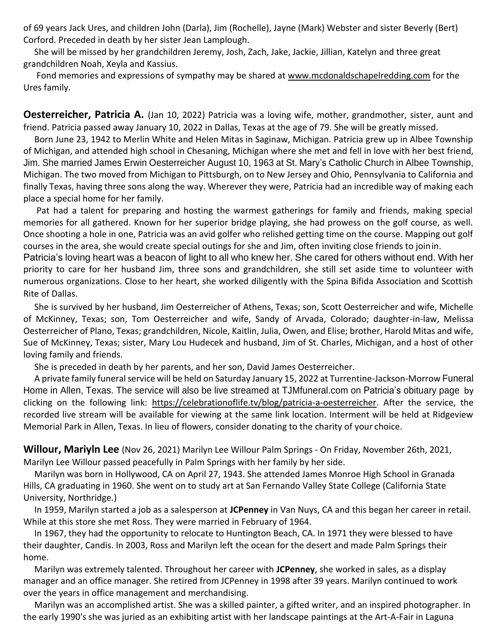of 69 years Jack Ures, and children John (Darla), Jim (Rochelle), Jayne (Mark) Webster and sister Beverly (Bert) Corford. Preceded in death by her sister Jean Lamplough.

She will be missed by her grandchildren Jeremy, Josh, Zach, Jake, Jackie, Jillian, Katelyn and three great grandchildren Noah, Xeyla and Kassius.

Fond memories and expressions of sympathy may be shared at [www.mcdonaldschapelredding.com](http://www.mcdonaldschapelredding.com/) for the Ures family.

**Oesterreicher, Patricia A.** (Jan 10, 2022) Patricia was a loving wife, mother, grandmother, sister, aunt and friend. Patricia passed away January 10, 2022 in Dallas, Texas at the age of 79. She will be greatly missed.

Born June 23, 1942 to Merlin White and Helen Mitas in Saginaw, Michigan. Patricia grew up in Albee Township of Michigan, and attended high school in Chesaning, Michigan where she met and fell in love with her best friend, Jim. She married James Erwin Oesterreicher August 10, 1963 at St. Mary's Catholic Church in Albee Township, Michigan. The two moved from Michigan to Pittsburgh, on to New Jersey and Ohio, Pennsylvania to California and finally Texas, having three sons along the way. Wherever they were, Patricia had an incredible way of making each place a special home for her family.

Pat had a talent for preparing and hosting the warmest gatherings for family and friends, making special memories for all gathered. Known for her superior bridge playing, she had prowess on the golf course, as well. Once shooting a hole in one, Patricia was an avid golfer who relished getting time on the course. Mapping out golf courses in the area, she would create special outings for she and Jim, often inviting close friends to joinin.

Patricia's loving heart was a beacon of light to all who knew her. She cared for others without end. With her priority to care for her husband Jim, three sons and grandchildren, she still set aside time to volunteer with numerous organizations. Close to her heart, she worked diligently with the Spina Bifida Association and Scottish Rite of Dallas.

She is survived by her husband, Jim Oesterreicher of Athens, Texas; son, Scott Oesterreicher and wife, Michelle of McKinney, Texas; son, Tom Oesterreicher and wife, Sandy of Arvada, Colorado; daughter-in-law, Melissa Oesterreicher of Plano, Texas; grandchildren, Nicole, Kaitlin, Julia, Owen, and Elise; brother, Harold Mitas and wife, Sue of McKinney, Texas; sister, Mary Lou Hudecek and husband, Jim of St. Charles, Michigan, and a host of other loving family and friends.

She is preceded in death by her parents, and her son, David James Oesterreicher.

A private family funeral service will be held on Saturday January 15, 2022 at Turrentine-Jackson-Morrow Funeral Home in Allen, Texas. The service will also be live streamed at TJMfuneral.com on Patricia's obituary page by clicking on the following link: [https://celebrationoflife.tv/blog/patricia-a-oesterreicher.](https://celebrationoflife.tv/blog/patricia-a-oesterreicher) After the service, the recorded live stream will be available for viewing at the same link location. Interment will be held at Ridgeview Memorial Park in Allen, Texas. In lieu of flowers, consider donating to the charity of your choice.

**Willour, Mariyln Lee** (Nov 26, 2021) Marilyn Lee Willour Palm Springs - On Friday, November 26th, 2021, Marilyn Lee Willour passed peacefully in Palm Springs with her family by her side.

Marilyn was born in Hollywood, CA on April 27, 1943. She attended James Monroe High School in Granada Hills, CA graduating in 1960. She went on to study art at San Fernando Valley State College (California State University, Northridge.)

In 1959, Marilyn started a job as a salesperson at **JCPenney** in Van Nuys, CA and this began her career in retail. While at this store she met Ross. They were married in February of 1964.

In 1967, they had the opportunity to relocate to Huntington Beach, CA. In 1971 they were blessed to have their daughter, Candis. In 2003, Ross and Marilyn left the ocean for the desert and made Palm Springs their home.

Marilyn was extremely talented. Throughout her career with **JCPenney**, she worked in sales, as a display manager and an office manager. She retired from JCPenney in 1998 after 39 years. Marilyn continued to work over the years in office management and merchandising.

Marilyn was an accomplished artist. She was a skilled painter, a gifted writer, and an inspired photographer. In the early 1990's she was juried as an exhibiting artist with her landscape paintings at the Art-A-Fair in Laguna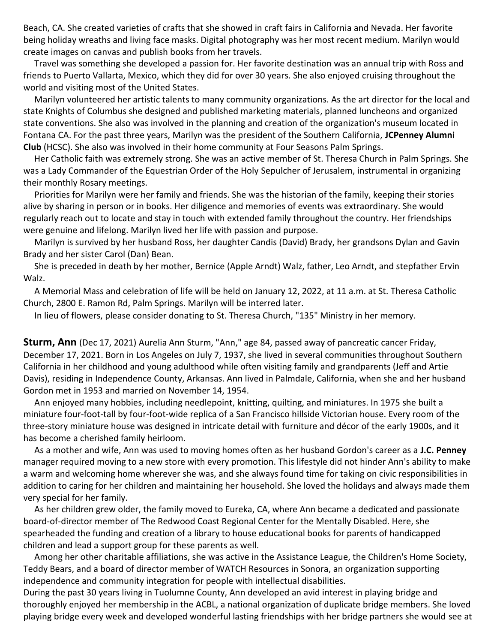Beach, CA. She created varieties of crafts that she showed in craft fairs in California and Nevada. Her favorite being holiday wreaths and living face masks. Digital photography was her most recent medium. Marilyn would create images on canvas and publish books from her travels.

Travel was something she developed a passion for. Her favorite destination was an annual trip with Ross and friends to Puerto Vallarta, Mexico, which they did for over 30 years. She also enjoyed cruising throughout the world and visiting most of the United States.

Marilyn volunteered her artistic talents to many community organizations. As the art director for the local and state Knights of Columbus she designed and published marketing materials, planned luncheons and organized state conventions. She also was involved in the planning and creation of the organization's museum located in Fontana CA. For the past three years, Marilyn was the president of the Southern California, **JCPenney Alumni Club** (HCSC). She also was involved in their home community at Four Seasons Palm Springs.

Her Catholic faith was extremely strong. She was an active member of St. Theresa Church in Palm Springs. She was a Lady Commander of the Equestrian Order of the Holy Sepulcher of Jerusalem, instrumental in organizing their monthly Rosary meetings.

Priorities for Marilyn were her family and friends. She was the historian of the family, keeping their stories alive by sharing in person or in books. Her diligence and memories of events was extraordinary. She would regularly reach out to locate and stay in touch with extended family throughout the country. Her friendships were genuine and lifelong. Marilyn lived her life with passion and purpose.

Marilyn is survived by her husband Ross, her daughter Candis (David) Brady, her grandsons Dylan and Gavin Brady and her sister Carol (Dan) Bean.

She is preceded in death by her mother, Bernice (Apple Arndt) Walz, father, Leo Arndt, and stepfather Ervin Walz.

A Memorial Mass and celebration of life will be held on January 12, 2022, at 11 a.m. at St. Theresa Catholic Church, 2800 E. Ramon Rd, Palm Springs. Marilyn will be interred later.

In lieu of flowers, please consider donating to St. Theresa Church, "135" Ministry in her memory.

**Sturm, Ann** (Dec 17, 2021) Aurelia Ann Sturm, "Ann," age 84, passed away of pancreatic cancer Friday, December 17, 2021. Born in Los Angeles on July 7, 1937, she lived in several communities throughout Southern California in her childhood and young adulthood while often visiting family and grandparents (Jeff and Artie Davis), residing in Independence County, Arkansas. Ann lived in Palmdale, California, when she and her husband Gordon met in 1953 and married on November 14, 1954.

Ann enjoyed many hobbies, including needlepoint, knitting, quilting, and miniatures. In 1975 she built a miniature four-foot-tall by four-foot-wide replica of a San Francisco hillside Victorian house. Every room of the three-story miniature house was designed in intricate detail with furniture and décor of the early 1900s, and it has become a cherished family heirloom.

As a mother and wife, Ann was used to moving homes often as her husband Gordon's career as a **J.C. Penney**  manager required moving to a new store with every promotion. This lifestyle did not hinder Ann's ability to make a warm and welcoming home wherever she was, and she always found time for taking on civic responsibilities in addition to caring for her children and maintaining her household. She loved the holidays and always made them very special for her family.

As her children grew older, the family moved to Eureka, CA, where Ann became a dedicated and passionate board-of-director member of The Redwood Coast Regional Center for the Mentally Disabled. Here, she spearheaded the funding and creation of a library to house educational books for parents of handicapped children and lead a support group for these parents as well.

Among her other charitable affiliations, she was active in the Assistance League, the Children's Home Society, Teddy Bears, and a board of director member of WATCH Resources in Sonora, an organization supporting independence and community integration for people with intellectual disabilities.

During the past 30 years living in Tuolumne County, Ann developed an avid interest in playing bridge and thoroughly enjoyed her membership in the ACBL, a national organization of duplicate bridge members. She loved playing bridge every week and developed wonderful lasting friendships with her bridge partners she would see at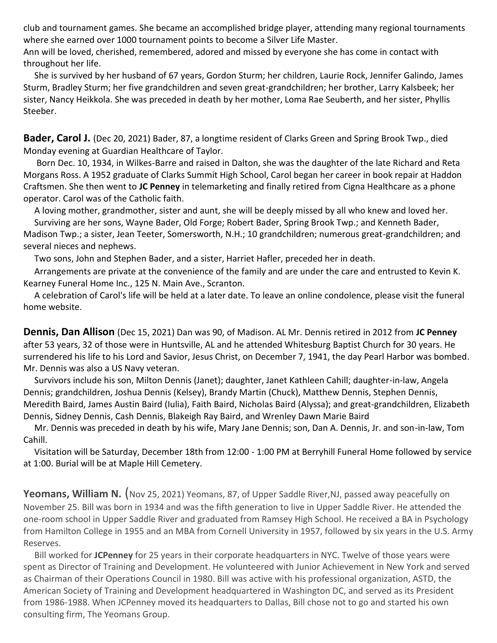club and tournament games. She became an accomplished bridge player, attending many regional tournaments where she earned over 1000 tournament points to become a Silver Life Master.

Ann will be loved, cherished, remembered, adored and missed by everyone she has come in contact with throughout her life.

She is survived by her husband of 67 years, Gordon Sturm; her children, Laurie Rock, Jennifer Galindo, James Sturm, Bradley Sturm; her five grandchildren and seven great-grandchildren; her brother, Larry Kalsbeek; her sister, Nancy Heikkola. She was preceded in death by her mother, Loma Rae Seuberth, and her sister, Phyllis Steeber.

**Bader, Carol J.** (Dec 20, 2021) Bader, 87, a longtime resident of Clarks Green and Spring Brook Twp., died Monday evening at Guardian Healthcare of Taylor.

Born Dec. 10, 1934, in Wilkes-Barre and raised in Dalton, she was the daughter of the late Richard and Reta Morgans Ross. A 1952 graduate of Clarks Summit High School, Carol began her career in book repair at Haddon Craftsmen. She then went to **JC Penney** in telemarketing and finally retired from Cigna Healthcare as a phone operator. Carol was of the Catholic faith.

A loving mother, grandmother, sister and aunt, she will be deeply missed by all who knew and loved her. Surviving are her sons, Wayne Bader, Old Forge; Robert Bader, Spring Brook Twp.; and Kenneth Bader, Madison Twp.; a sister, Jean Teeter, Somersworth, N.H.; 10 grandchildren; numerous great-grandchildren; and several nieces and nephews.

Two sons, John and Stephen Bader, and a sister, Harriet Hafler, preceded her in death.

Arrangements are private at the convenience of the family and are under the care and entrusted to Kevin K. Kearney Funeral Home Inc., 125 N. Main Ave., Scranton.

A celebration of Carol's life will be held at a later date. To leave an online condolence, please visit the funeral home website.

**Dennis, Dan Allison** (Dec 15, 2021) Dan was 90, of Madison. AL Mr. Dennis retired in 2012 from **JC Penney**  after 53 years, 32 of those were in Huntsville, AL and he attended Whitesburg Baptist Church for 30 years. He surrendered his life to his Lord and Savior, Jesus Christ, on December 7, 1941, the day Pearl Harbor was bombed. Mr. Dennis was also a US Navy veteran.

Survivors include his son, Milton Dennis (Janet); daughter, Janet Kathleen Cahill; daughter-in-law, Angela Dennis; grandchildren, Joshua Dennis (Kelsey), Brandy Martin (Chuck), Matthew Dennis, Stephen Dennis, Meredith Baird, James Austin Baird (Iulia), Faith Baird, Nicholas Baird (Alyssa); and great-grandchildren, Elizabeth Dennis, Sidney Dennis, Cash Dennis, Blakeigh Ray Baird, and Wrenley Dawn Marie Baird

Mr. Dennis was preceded in death by his wife, Mary Jane Dennis; son, Dan A. Dennis, Jr. and son-in-law, Tom Cahill.

Visitation will be Saturday, December 18th from 12:00 - 1:00 PM at Berryhill Funeral Home followed by service at 1:00. Burial will be at Maple Hill Cemetery.

**Yeomans, William N.** (Nov 25, 2021) Yeomans, 87, of Upper Saddle River, NJ, passed away peacefully on November 25. Bill was born in 1934 and was the fifth generation to live in Upper Saddle River. He attended the one-room school in Upper Saddle River and graduated from Ramsey High School. He received a BA in Psychology from Hamilton College in 1955 and an MBA from Cornell University in 1957, followed by six years in the U.S. Army Reserves.

Bill worked for **JCPenney** for 25 years in their corporate headquarters in NYC. Twelve of those years were spent as Director of Training and Development. He volunteered with Junior Achievement in New York and served as Chairman of their Operations Council in 1980. Bill was active with his professional organization, ASTD, the American Society of Training and Development headquartered in Washington DC, and served as its President from 1986-1988. When JCPenney moved its headquarters to Dallas, Bill chose not to go and started his own consulting firm, The Yeomans Group.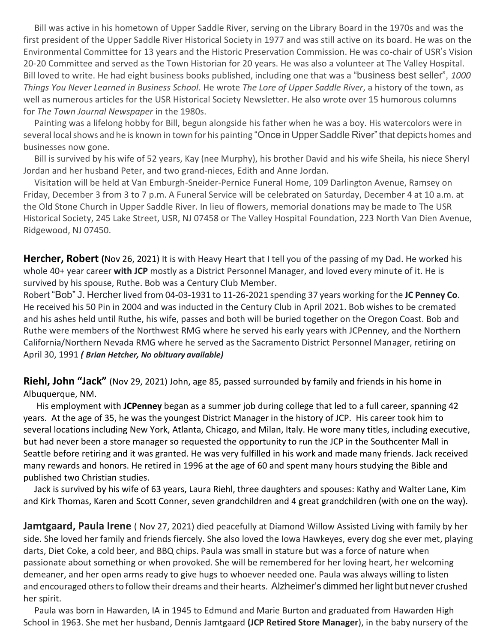Bill was active in his hometown of Upper Saddle River, serving on the Library Board in the 1970s and was the first president of the Upper Saddle River Historical Society in 1977 and was still active on its board. He was on the Environmental Committee for 13 years and the Historic Preservation Commission. He was co-chair of USR's Vision 20-20 Committee and served as the Town Historian for 20 years. He was also a volunteer at The Valley Hospital. Bill loved to write. He had eight business books published, including one that was a "business best seller", *1000 Things You Never Learned in Business School.* He wrote *The Lore of Upper Saddle River*, a history of the town, as well as numerous articles for the USR Historical Society Newsletter. He also wrote over 15 humorous columns for *The Town Journal Newspaper* in the 1980s.

Painting was a lifelong hobby for Bill, begun alongside his father when he was a boy. His watercolors were in several local shows and he is known in town for his painting "Once in Upper Saddle River" that depicts homes and businesses now gone.

Bill is survived by his wife of 52 years, Kay (nee Murphy), his brother David and his wife Sheila, his niece Sheryl Jordan and her husband Peter, and two grand-nieces, Edith and Anne Jordan.

Visitation will be held at Van Emburgh-Sneider-Pernice Funeral Home, 109 Darlington Avenue, Ramsey on Friday, December 3 from 3 to 7 p.m. A Funeral Service will be celebrated on Saturday, December 4 at 10 a.m. at the Old Stone Church in Upper Saddle River. In lieu of flowers, memorial donations may be made to The USR Historical Society, 245 Lake Street, USR, NJ 07458 or The Valley Hospital Foundation, 223 North Van Dien Avenue, Ridgewood, NJ 07450.

**Hercher, Robert (**Nov 26, 2021) It is with Heavy Heart that I tell you of the passing of my Dad. He worked his whole 40+ year career **with JCP** mostly as a District Personnel Manager, and loved every minute of it. He is survived by his spouse, Ruthe. Bob was a Century Club Member.

Robert "Bob" J. Hercher lived from 04-03-1931 to 11-26-2021 spending 37 years working for the **JC Penney Co**. He received his 50 Pin in 2004 and was inducted in the Century Club in April 2021. Bob wishes to be cremated and his ashes held until Ruthe, his wife, passes and both will be buried together on the Oregon Coast. Bob and Ruthe were members of the Northwest RMG where he served his early years with JCPenney, and the Northern California/Northern Nevada RMG where he served as the Sacramento District Personnel Manager, retiring on April 30, 1991 *( Brian Hetcher, No obituary available)*

**Riehl, John "Jack"** (Nov 29, 2021) John, age 85, passed surrounded by family and friends in his home in Albuquerque, NM.

His employment with **JCPenney** began as a summer job during college that led to a full career, spanning 42 years. At the age of 35, he was the youngest District Manager in the history of JCP. His career took him to several locations including New York, Atlanta, Chicago, and Milan, Italy. He wore many titles, including executive, but had never been a store manager so requested the opportunity to run the JCP in the Southcenter Mall in Seattle before retiring and it was granted. He was very fulfilled in his work and made many friends. Jack received many rewards and honors. He retired in 1996 at the age of 60 and spent many hours studying the Bible and published two Christian studies.

Jack is survived by his wife of 63 years, Laura Riehl, three daughters and spouses: Kathy and Walter Lane, Kim and Kirk Thomas, Karen and Scott Conner, seven grandchildren and 4 great grandchildren (with one on the way).

**Jamtgaard, Paula Irene** ( Nov 27, 2021) died peacefully at Diamond Willow Assisted Living with family by her side. She loved her family and friends fiercely. She also loved the Iowa Hawkeyes, every dog she ever met, playing darts, Diet Coke, a cold beer, and BBQ chips. Paula was small in stature but was a force of nature when passionate about something or when provoked. She will be remembered for her loving heart, her welcoming demeaner, and her open arms ready to give hugs to whoever needed one. Paula was always willing to listen and encouraged others to follow their dreams and their hearts. Alzheimer's dimmed her light but never crushed her spirit.

Paula was born in Hawarden, IA in 1945 to Edmund and Marie Burton and graduated from Hawarden High School in 1963. She met her husband, Dennis Jamtgaard **(JCP Retired Store Manager**), in the baby nursery of the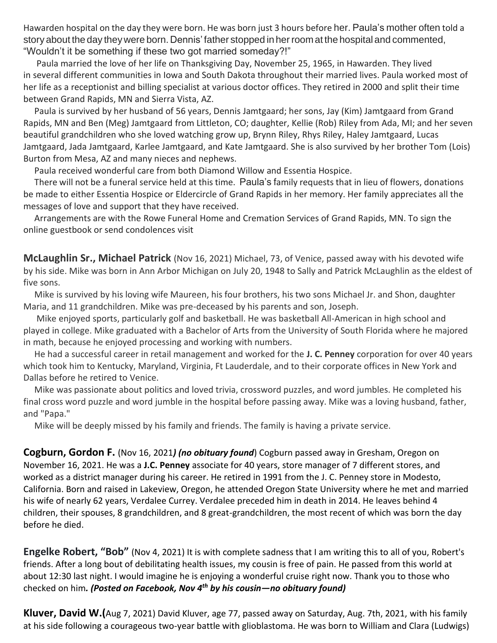Hawarden hospital on the day they were born. He was born just 3 hours before her. Paula's mother often told a story about the day theywere born. Dennis' father stopped in herroomat the hospital and commented, "Wouldn't it be something if these two got married someday?!"

Paula married the love of her life on Thanksgiving Day, November 25, 1965, in Hawarden. They lived in several different communities in Iowa and South Dakota throughout their married lives. Paula worked most of her life as a receptionist and billing specialist at various doctor offices. They retired in 2000 and split their time between Grand Rapids, MN and Sierra Vista, AZ.

Paula is survived by her husband of 56 years, Dennis Jamtgaard; her sons, Jay (Kim) Jamtgaard from Grand Rapids, MN and Ben (Meg) Jamtgaard from Littleton, CO; daughter, Kellie (Rob) Riley from Ada, MI; and her seven beautiful grandchildren who she loved watching grow up, Brynn Riley, Rhys Riley, Haley Jamtgaard, Lucas Jamtgaard, Jada Jamtgaard, Karlee Jamtgaard, and Kate Jamtgaard. She is also survived by her brother Tom (Lois) Burton from Mesa, AZ and many nieces and nephews.

Paula received wonderful care from both Diamond Willow and Essentia Hospice.

There will not be a funeral service held at this time. Paula's family requests that in lieu of flowers, donations be made to either Essentia Hospice or Eldercircle of Grand Rapids in her memory. Her family appreciates all the messages of love and support that they have received.

Arrangements are with the Rowe Funeral Home and Cremation Services of Grand Rapids, MN. To sign the online guestbook or send condolences visit

**McLaughlin Sr., Michael Patrick** (Nov 16, 2021) Michael, 73, of Venice, passed away with his devoted wife by his side. Mike was born in Ann Arbor Michigan on July 20, 1948 to Sally and Patrick McLaughlin as the eldest of five sons.

Mike is survived by his loving wife Maureen, his four brothers, his two sons Michael Jr. and Shon, daughter Maria, and 11 grandchildren. Mike was pre-deceased by his parents and son, Joseph.

Mike enjoyed sports, particularly golf and basketball. He was basketball All-American in high school and played in college. Mike graduated with a Bachelor of Arts from the University of South Florida where he majored in math, because he enjoyed processing and working with numbers.

He had a successful career in retail management and worked for the **J. C. Penney** corporation for over 40 years which took him to Kentucky, Maryland, Virginia, Ft Lauderdale, and to their corporate offices in New York and Dallas before he retired to Venice.

Mike was passionate about politics and loved trivia, crossword puzzles, and word jumbles. He completed his final cross word puzzle and word jumble in the hospital before passing away. Mike was a loving husband, father, and "Papa."

Mike will be deeply missed by his family and friends. The family is having a private service.

**Cogburn, Gordon F.** (Nov 16, 2021*) (no obituary found*) Cogburn passed away in Gresham, Oregon on November 16, 2021. He was a **J.C. Penney** associate for 40 years, store manager of 7 different stores, and worked as a district manager during his career. He retired in 1991 from the J. C. Penney store in Modesto, California. Born and raised in Lakeview, Oregon, he attended Oregon State University where he met and married his wife of nearly 62 years, Verdalee Currey. Verdalee preceded him in death in 2014. He leaves behind 4 children, their spouses, 8 grandchildren, and 8 great-grandchildren, the most recent of which was born the day before he died.

**Engelke Robert, "Bob"** (Nov 4, 2021) It is with complete sadness that I am writing this to all of you, Robert's friends. After a long bout of debilitating health issues, my cousin is free of pain. He passed from this world at about 12:30 last night. I would imagine he is enjoying a wonderful cruise right now. Thank you to those who checked on him*. (Posted on Facebook, Nov 4th by his cousin—no obituary found)*

**Kluver, David W.(**Aug 7, 2021) David Kluver, age 77, passed away on Saturday, Aug. 7th, 2021, with his family at his side following a courageous two-year battle with glioblastoma. He was born to William and Clara (Ludwigs)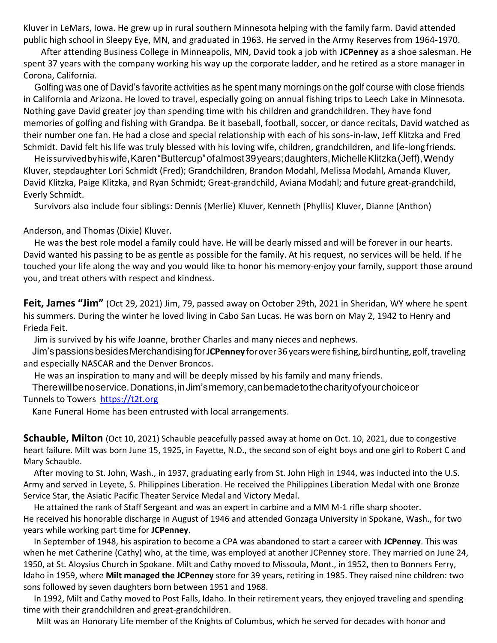Kluver in LeMars, Iowa. He grew up in rural southern Minnesota helping with the family farm. David attended public high school in Sleepy Eye, MN, and graduated in 1963. He served in the Army Reserves from 1964-1970.

After attending Business College in Minneapolis, MN, David took a job with **JCPenney** as a shoe salesman. He spent 37 years with the company working his way up the corporate ladder, and he retired as a store manager in Corona, California.

Golfing was one of David's favorite activities as he spent many mornings on the golf course with close friends in California and Arizona. He loved to travel, especially going on annual fishing trips to Leech Lake in Minnesota. Nothing gave David greater joy than spending time with his children and grandchildren. They have fond memories of golfing and fishing with Grandpa. Be it baseball, football, soccer, or dance recitals, David watched as their number one fan. He had a close and special relationship with each of his sons-in-law, Jeff Klitzka and Fred Schmidt. David felt his life was truly blessed with his loving wife, children, grandchildren, and life-longfriends.

Heissurvivedbyhiswife,Karen"Buttercup"ofalmost39years;daughters,MichelleKlitzka(Jeff),Wendy Kluver, stepdaughter Lori Schmidt (Fred); Grandchildren, Brandon Modahl, Melissa Modahl, Amanda Kluver, David Klitzka, Paige Klitzka, and Ryan Schmidt; Great-grandchild, Aviana Modahl; and future great-grandchild, Everly Schmidt.

Survivors also include four siblings: Dennis (Merlie) Kluver, Kenneth (Phyllis) Kluver, Dianne (Anthon)

Anderson, and Thomas (Dixie) Kluver.

He was the best role model a family could have. He will be dearly missed and will be forever in our hearts. David wanted his passing to be as gentle as possible for the family. At his request, no services will be held. If he touched your life along the way and you would like to honor his memory-enjoy your family, support those around you, and treat others with respect and kindness.

**Feit, James "Jim"** (Oct 29, 2021) Jim, 79, passed away on October 29th, 2021 in Sheridan, WY where he spent his summers. During the winter he loved living in Cabo San Lucas. He was born on May 2, 1942 to Henry and Frieda Feit.

Jim is survived by his wife Joanne, brother Charles and many nieces and nephews.

Jim'spassionsbesidesMerchandisingfor**JCPenney**forover36yearswerefishing,birdhunting,golf,traveling and especially NASCAR and the Denver Broncos.

He was an inspiration to many and will be deeply missed by his family and many friends.

Therewillbenoservice.Donations,inJim'smemory,canbemadetothecharityofyourchoiceor

Tunnels to Towers [https://t2t.org](https://t2t.org/)

Kane Funeral Home has been entrusted with local arrangements.

**Schauble, Milton** (Oct 10, 2021) Schauble peacefully passed away at home on Oct. 10, 2021, due to congestive heart failure. Milt was born June 15, 1925, in Fayette, N.D., the second son of eight boys and one girl to Robert C and Mary Schauble.

After moving to St. John, Wash., in 1937, graduating early from St. John High in 1944, was inducted into the U.S. Army and served in Leyete, S. Philippines Liberation. He received the Philippines Liberation Medal with one Bronze Service Star, the Asiatic Pacific Theater Service Medal and Victory Medal.

He attained the rank of Staff Sergeant and was an expert in carbine and a MM M-1 rifle sharp shooter. He received his honorable discharge in August of 1946 and attended Gonzaga University in Spokane, Wash., for two years while working part time for **JCPenney**.

In September of 1948, his aspiration to become a CPA was abandoned to start a career with **JCPenney**. This was when he met Catherine (Cathy) who, at the time, was employed at another JCPenney store. They married on June 24, 1950, at St. Aloysius Church in Spokane. Milt and Cathy moved to Missoula, Mont., in 1952, then to Bonners Ferry, Idaho in 1959, where **Milt managed the JCPenney** store for 39 years, retiring in 1985. They raised nine children: two sons followed by seven daughters born between 1951 and 1968.

In 1992, Milt and Cathy moved to Post Falls, Idaho. In their retirement years, they enjoyed traveling and spending time with their grandchildren and great-grandchildren.

Milt was an Honorary Life member of the Knights of Columbus, which he served for decades with honor and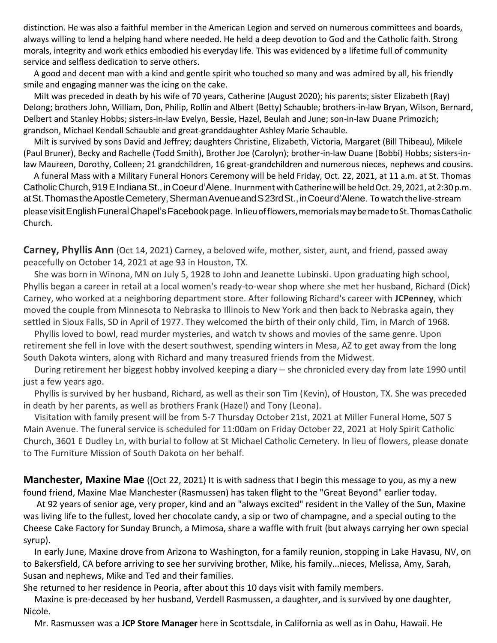distinction. He was also a faithful member in the American Legion and served on numerous committees and boards, always willing to lend a helping hand where needed. He held a deep devotion to God and the Catholic faith. Strong morals, integrity and work ethics embodied his everyday life. This was evidenced by a lifetime full of community service and selfless dedication to serve others.

A good and decent man with a kind and gentle spirit who touched so many and was admired by all, his friendly smile and engaging manner was the icing on the cake.

Milt was preceded in death by his wife of 70 years, Catherine (August 2020); his parents; sister Elizabeth (Ray) Delong; brothers John, William, Don, Philip, Rollin and Albert (Betty) Schauble; brothers-in-law Bryan, Wilson, Bernard, Delbert and Stanley Hobbs; sisters-in-law Evelyn, Bessie, Hazel, Beulah and June; son-in-law Duane Primozich; grandson, Michael Kendall Schauble and great-granddaughter Ashley Marie Schauble.

Milt is survived by sons David and Jeffrey; daughters Christine, Elizabeth, Victoria, Margaret (Bill Thibeau), Mikele (Paul Bruner), Becky and Rachelle (Todd Smith), Brother Joe (Carolyn); brother-in-law Duane (Bobbi) Hobbs; sisters-inlaw Maureen, Dorothy, Colleen; 21 grandchildren, 16 great-grandchildren and numerous nieces, nephews and cousins.

A funeral Mass with a Military Funeral Honors Ceremony will be held Friday, Oct. 22, 2021, at 11 a.m. at St. Thomas Catholic Church, 919 E Indiana St., in Coeur d'Alene. Inurnment with Catherine will be held Oct. 29, 2021, at 2:30 p.m. atSt.ThomastheApostleCemetery,ShermanAvenueandS23rdSt.,inCoeurd'Alene. Towatchthelive-stream pleasevisitEnglishFuneralChapel'sFacebookpage. Inlieuofflowers,memorialsmaybemadetoSt.ThomasCatholic Church.

**Carney, Phyllis Ann** (Oct 14, 2021) Carney, a beloved wife, mother, sister, aunt, and friend, passed away peacefully on October 14, 2021 at age 93 in Houston, TX.

She was born in Winona, MN on July 5, 1928 to John and Jeanette Lubinski. Upon graduating high school, Phyllis began a career in retail at a local women's ready-to-wear shop where she met her husband, Richard (Dick) Carney, who worked at a neighboring department store. After following Richard's career with **JCPenney**, which moved the couple from Minnesota to Nebraska to Illinois to New York and then back to Nebraska again, they settled in Sioux Falls, SD in April of 1977. They welcomed the birth of their only child, Tim, in March of 1968.

Phyllis loved to bowl, read murder mysteries, and watch tv shows and movies of the same genre. Upon retirement she fell in love with the desert southwest, spending winters in Mesa, AZ to get away from the long South Dakota winters, along with Richard and many treasured friends from the Midwest.

During retirement her biggest hobby involved keeping a diary – she chronicled every day from late 1990 until just a few years ago.

Phyllis is survived by her husband, Richard, as well as their son Tim (Kevin), of Houston, TX. She was preceded in death by her parents, as well as brothers Frank (Hazel) and Tony (Leona).

Visitation with family present will be from 5-7 Thursday October 21st, 2021 at Miller Funeral Home, 507 S Main Avenue. The funeral service is scheduled for 11:00am on Friday October 22, 2021 at Holy Spirit Catholic Church, 3601 E Dudley Ln, with burial to follow at St Michael Catholic Cemetery. In lieu of flowers, please donate to The Furniture Mission of South Dakota on her behalf.

**Manchester, Maxine Mae** ((Oct 22, 2021) It is with sadness that I begin this message to you, as my a new found friend, Maxine Mae Manchester (Rasmussen) has taken flight to the "Great Beyond" earlier today.

At 92 years of senior age, very proper, kind and an "always excited" resident in the Valley of the Sun, Maxine was living life to the fullest, loved her chocolate candy, a sip or two of champagne, and a special outing to the Cheese Cake Factory for Sunday Brunch, a Mimosa, share a waffle with fruit (but always carrying her own special syrup).

In early June, Maxine drove from Arizona to Washington, for a family reunion, stopping in Lake Havasu, NV, on to Bakersfield, CA before arriving to see her surviving brother, Mike, his family...nieces, Melissa, Amy, Sarah, Susan and nephews, Mike and Ted and their families.

She returned to her residence in Peoria, after about this 10 days visit with family members.

Maxine is pre-deceased by her husband, Verdell Rasmussen, a daughter, and is survived by one daughter, Nicole.

Mr. Rasmussen was a **JCP Store Manager** here in Scottsdale, in California as well as in Oahu, Hawaii. He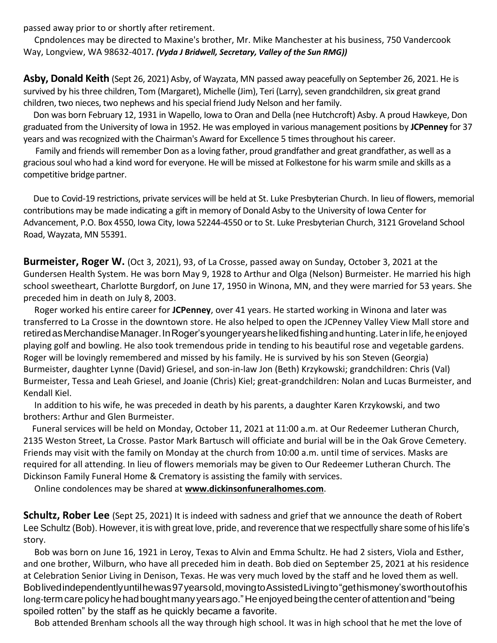passed away prior to or shortly after retirement.

Cpndolences may be directed to Maxine's brother, Mr. Mike Manchester at his business, 750 Vandercook Way, Longview, WA 98632-4017*. (Vyda J Bridwell, Secretary, Valley of the Sun RMG))*

**Asby, Donald Keith** (Sept 26, 2021) Asby, of Wayzata, MN passed away peacefully on September 26, 2021. He is survived by his three children, Tom (Margaret), Michelle (Jim), Teri (Larry), seven grandchildren, six great grand children, two nieces, two nephews and his special friend Judy Nelson and her family.

Don was born February 12, 1931 in Wapello, Iowa to Oran and Della (nee Hutchcroft) Asby. A proud Hawkeye, Don graduated from the University of Iowa in 1952. He was employed in various management positions by **JCPenney** for 37 years and was recognized with the Chairman's Award for Excellence 5 times throughout his career.

Family and friends will remember Don as a loving father, proud grandfather and great grandfather, as well as a gracious soul who had a kind word for everyone. He will be missed at Folkestone for his warm smile and skills as a competitive bridge partner.

Due to Covid-19 restrictions, private services will be held at St. Luke Presbyterian Church. In lieu of flowers, memorial contributions may be made indicating a gift in memory of Donald Asby to the University of Iowa Center for Advancement, P.O. Box 4550, Iowa City, Iowa 52244-4550 or to St. Luke Presbyterian Church, 3121 Groveland School Road, Wayzata, MN 55391.

**Burmeister, Roger W.** (Oct 3, 2021), 93, of La Crosse, passed away on Sunday, October 3, 2021 at the Gundersen Health System. He was born May 9, 1928 to Arthur and Olga (Nelson) Burmeister. He married his high school sweetheart, Charlotte Burgdorf, on June 17, 1950 in Winona, MN, and they were married for 53 years. She preceded him in death on July 8, 2003.

Roger worked his entire career for **JCPenney**, over 41 years. He started working in Winona and later was transferred to La Crosse in the downtown store. He also helped to open the JCPenney Valley View Mall store and retiredasMerchandiseManager.InRoger'syoungeryearshelikedfishingandhunting. Laterinlife,heenjoyed playing golf and bowling. He also took tremendous pride in tending to his beautiful rose and vegetable gardens. Roger will be lovingly remembered and missed by his family. He is survived by his son Steven (Georgia) Burmeister, daughter Lynne (David) Griesel, and son-in-law Jon (Beth) Krzykowski; grandchildren: Chris (Val) Burmeister, Tessa and Leah Griesel, and Joanie (Chris) Kiel; great-grandchildren: Nolan and Lucas Burmeister, and Kendall Kiel.

In addition to his wife, he was preceded in death by his parents, a daughter Karen Krzykowski, and two brothers: Arthur and Glen Burmeister.

Funeral services will be held on Monday, October 11, 2021 at 11:00 a.m. at Our Redeemer Lutheran Church, 2135 Weston Street, La Crosse. Pastor Mark Bartusch will officiate and burial will be in the Oak Grove Cemetery. Friends may visit with the family on Monday at the church from 10:00 a.m. until time of services. Masks are required for all attending. In lieu of flowers memorials may be given to Our Redeemer Lutheran Church. The Dickinson Family Funeral Home & Crematory is assisting the family with services.

Online condolences may be shared at **[www.dickinsonfuneralhomes.com](http://www.dickinsonfuneralhomes.com/)**.

**Schultz, Rober Lee** (Sept 25, 2021) It is indeed with sadness and grief that we announce the death of Robert Lee Schultz (Bob). However, it is with great love, pride, and reverence that we respectfully share some of his life's story.

Bob was born on June 16, 1921 in Leroy, Texas to Alvin and Emma Schultz. He had 2 sisters, Viola and Esther, and one brother, Wilburn, who have all preceded him in death. Bob died on September 25, 2021 at his residence at Celebration Senior Living in Denison, Texas. He was very much loved by the staff and he loved them as well. Boblivedindependentlyuntilhewas97yearsold,movingtoAssistedLivingto"gethismoney'sworthoutofhis long-termcarepolicyhehadboughtmany yearsago."Heenjoyedbeingthecenterof attention and"being spoiled rotten" by the staff as he quickly became a favorite.

Bob attended Brenham schools all the way through high school. It was in high school that he met the love of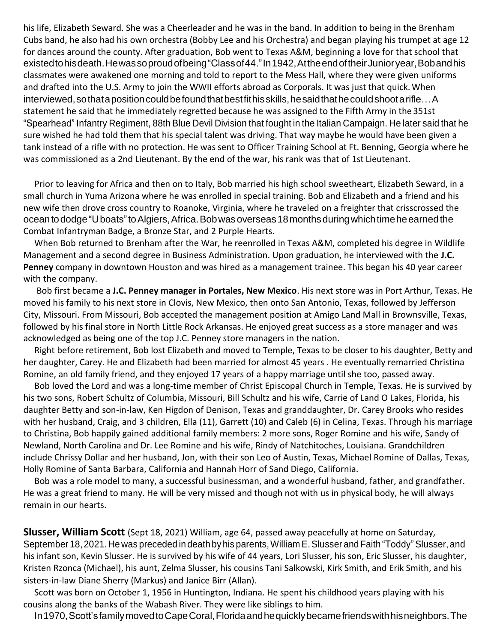his life, Elizabeth Seward. She was a Cheerleader and he was in the band. In addition to being in the Brenham Cubs band, he also had his own orchestra (Bobby Lee and his Orchestra) and began playing his trumpet at age 12 for dances around the county. After graduation, Bob went to Texas A&M, beginning a love for that school that existedtohisdeath.Hewassoproudofbeing"Classof44."In1942,AttheendoftheirJunioryear,Bobandhis classmates were awakened one morning and told to report to the Mess Hall, where they were given uniforms and drafted into the U.S. Army to join the WWII efforts abroad as Corporals. It was just that quick.When interviewed, so that a position could be found that best fit his skills, he said that he could shoot a rifle…A statement he said that he immediately regretted because he was assigned to the Fifth Army in the 351st "Spearhead" Infantry Regiment, 88th Blue Devil Division that fought in the Italian Campaign. He later said that he sure wished he had told them that his special talent was driving. That way maybe he would have been given a tank instead of a rifle with no protection. He was sent to Officer Training School at Ft. Benning, Georgia where he was commissioned as a 2nd Lieutenant. By the end of the war, his rank was that of 1st Lieutenant.

Prior to leaving for Africa and then on to Italy, Bob married his high school sweetheart, Elizabeth Seward, in a small church in Yuma Arizona where he was enrolled in special training. Bob and Elizabeth and a friend and his new wife then drove cross country to Roanoke, Virginia, where he traveled on a freighter that crisscrossed the oceantododge"Uboats"toAlgiers,Africa.Bobwasoverseas18monthsduringwhichtimeheearnedthe Combat Infantryman Badge, a Bronze Star, and 2 Purple Hearts.

When Bob returned to Brenham after the War, he reenrolled in Texas A&M, completed his degree in Wildlife Management and a second degree in Business Administration. Upon graduation, he interviewed with the **J.C. Penney** company in downtown Houston and was hired as a management trainee. This began his 40 year career with the company.

Bob first became a **J.C. Penney manager in Portales, New Mexico**. His next store was in Port Arthur, Texas. He moved his family to his next store in Clovis, New Mexico, then onto San Antonio, Texas, followed by Jefferson City, Missouri. From Missouri, Bob accepted the management position at Amigo Land Mall in Brownsville, Texas, followed by his final store in North Little Rock Arkansas. He enjoyed great success as a store manager and was acknowledged as being one of the top J.C. Penney store managers in the nation.

Right before retirement, Bob lost Elizabeth and moved to Temple, Texas to be closer to his daughter, Betty and her daughter, Carey. He and Elizabeth had been married for almost 45 years . He eventually remarried Christina Romine, an old family friend, and they enjoyed 17 years of a happy marriage until she too, passed away.

Bob loved the Lord and was a long-time member of Christ Episcopal Church in Temple, Texas. He is survived by his two sons, Robert Schultz of Columbia, Missouri, Bill Schultz and his wife, Carrie of Land O Lakes, Florida, his daughter Betty and son-in-law, Ken Higdon of Denison, Texas and granddaughter, Dr. Carey Brooks who resides with her husband, Craig, and 3 children, Ella (11), Garrett (10) and Caleb (6) in Celina, Texas. Through his marriage to Christina, Bob happily gained additional family members: 2 more sons, Roger Romine and his wife, Sandy of Newland, North Carolina and Dr. Lee Romine and his wife, Rindy of Natchitoches, Louisiana. Grandchildren include Chrissy Dollar and her husband, Jon, with their son Leo of Austin, Texas, Michael Romine of Dallas, Texas, Holly Romine of Santa Barbara, California and Hannah Horr of Sand Diego, California.

Bob was a role model to many, a successful businessman, and a wonderful husband, father, and grandfather. He was a great friend to many. He will be very missed and though not with us in physical body, he will always remain in our hearts.

**Slusser, William Scott** (Sept 18, 2021) William, age 64, passed away peacefully at home on Saturday, September 18, 2021. He was preceded in death by his parents, William E. Slusser and Faith "Toddy" Slusser, and his infant son, Kevin Slusser. He is survived by his wife of 44 years, Lori Slusser, his son, Eric Slusser, his daughter, Kristen Rzonca (Michael), his aunt, Zelma Slusser, his cousins Tani Salkowski, Kirk Smith, and Erik Smith, and his sisters-in-law Diane Sherry (Markus) and Janice Birr (Allan).

Scott was born on October 1, 1956 in Huntington, Indiana. He spent his childhood years playing with his cousins along the banks of the Wabash River. They were like siblings to him.

In1970,Scott'sfamilymovedtoCapeCoral,Floridaandhequicklybecamefriendswithhisneighbors.The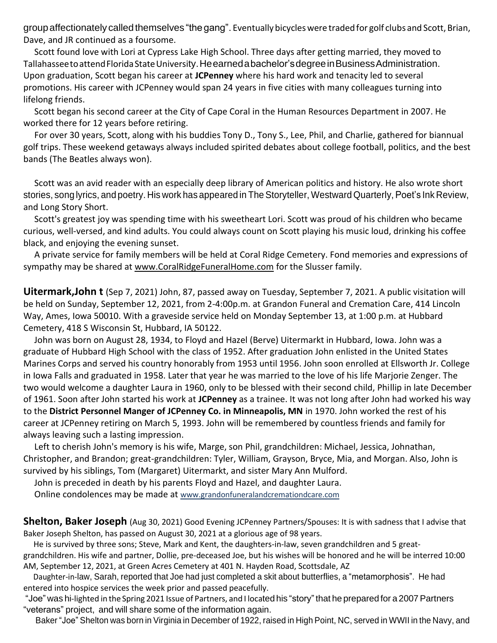group affectionately called themselves "the gang". Eventually bicycles were traded for golf clubs and Scott, Brian, Dave, and JR continued as a foursome.

Scott found love with Lori at Cypress Lake High School. Three days after getting married, they moved to Tallahassee to attend Florida State University. He earned a bachelor's degree in Business Administration. Upon graduation, Scott began his career at **JCPenney** where his hard work and tenacity led to several promotions. His career with JCPenney would span 24 years in five cities with many colleagues turning into lifelong friends.

Scott began his second career at the City of Cape Coral in the Human Resources Department in 2007. He worked there for 12 years before retiring.

For over 30 years, Scott, along with his buddies Tony D., Tony S., Lee, Phil, and Charlie, gathered for biannual golf trips. These weekend getaways always included spirited debates about college football, politics, and the best bands (The Beatles always won).

Scott was an avid reader with an especially deep library of American politics and history. He also wrote short stories, song lyrics, and poetry. His work has appeared in The Storyteller, Westward Quarterly, Poet's Ink Review, and Long Story Short.

Scott's greatest joy was spending time with his sweetheart Lori. Scott was proud of his children who became curious, well-versed, and kind adults. You could always count on Scott playing his music loud, drinking his coffee black, and enjoying the evening sunset.

A private service for family members will be held at Coral Ridge Cemetery. Fond memories and expressions of sympathy may be shared at [www.CoralRidgeFuneralHome.com](http://www.coralridgefuneralhome.com/) for the Slusser family.

**Uitermark,John t** (Sep 7, 2021) John, 87, passed away on Tuesday, September 7, 2021. A public visitation will be held on Sunday, September 12, 2021, from 2-4:00p.m. at Grandon Funeral and Cremation Care, 414 Lincoln Way, Ames, Iowa 50010. With a graveside service held on Monday September 13, at 1:00 p.m. at Hubbard Cemetery, 418 S Wisconsin St, Hubbard, IA 50122.

John was born on August 28, 1934, to Floyd and Hazel (Berve) Uitermarkt in Hubbard, Iowa. John was a graduate of Hubbard High School with the class of 1952. After graduation John enlisted in the United States Marines Corps and served his country honorably from 1953 until 1956. John soon enrolled at Ellsworth Jr. College in Iowa Falls and graduated in 1958. Later that year he was married to the love of his life Marjorie Zenger. The two would welcome a daughter Laura in 1960, only to be blessed with their second child, Phillip in late December of 1961. Soon after John started his work at **JCPenney** as a trainee. It was not long after John had worked his way to the **District Personnel Manger of JCPenney Co. in Minneapolis, MN** in 1970. John worked the rest of his career at JCPenney retiring on March 5, 1993. John will be remembered by countless friends and family for always leaving such a lasting impression.

Left to cherish John's memory is his wife, Marge, son Phil, grandchildren: Michael, Jessica, Johnathan, Christopher, and Brandon; great-grandchildren: Tyler, William, Grayson, Bryce, Mia, and Morgan. Also, John is survived by his siblings, Tom (Margaret) Uitermarkt, and sister Mary Ann Mulford.

John is preceded in death by his parents Floyd and Hazel, and daughter Laura.

Online condolences may be made at [www.grandonfuneralandcremationdcare.com](http://www.grandonfuneralandcremationdcare.com/)

**Shelton, Baker Joseph** (Aug 30, 2021) Good Evening JCPenney Partners/Spouses: It is with sadness that I advise that Baker Joseph Shelton, has passed on August 30, 2021 at a glorious age of 98 years.

He is survived by three sons; Steve, Mark and Kent, the daughters-in-law, seven grandchildren and 5 great-

grandchildren. His wife and partner, Dollie, pre-deceased Joe, but his wishes will be honored and he will be interred 10:00 AM, September 12, 2021, at Green Acres Cemetery at 401 N. Hayden Road, Scottsdale, AZ

Daughter-in-law, Sarah, reported that Joe had just completed a skit about butterflies, a "metamorphosis". He had entered into hospice services the week prior and passed peacefully.

"Joe" was hi-lighted in the Spring 2021 Issue of Partners, and I located his "story" that he prepared for a 2007 Partners "veterans" project, and will share some of the information again.

Baker "Joe" Shelton was born in Virginia in December of 1922, raised in High Point, NC, served in WWII in the Navy, and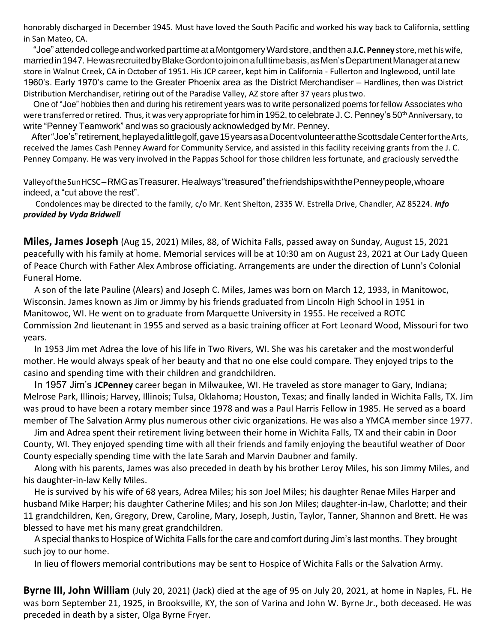honorably discharged in December 1945. Must have loved the South Pacific and worked his way back to California, settling in San Mateo, CA.

"Joe"attendedcollegeandworkedparttimeat aMontgomeryWardstore,andthena **J.C. Penney** store,met hiswife, married in 1947. He was recruited by Blake Gordon to join on a full time basis, as Men's Department Manager at a new store in Walnut Creek, CA in October of 1951. His JCP career, kept him in California - Fullerton and Inglewood, until late 1960's. Early 1970's came to the Greater Phoenix area as the District Merchandiser – Hardlines, then was District Distribution Merchandiser, retiring out of the Paradise Valley, AZ store after 37 years plustwo.

One of "Joe" hobbies then and during his retirement years was to write personalized poems for fellow Associates who were transferred or retired. Thus, it was very appropriate for him in 1952, to celebrate J. C. Penney's 50<sup>th</sup> Anniversary, to write "Penney Teamwork" and was so graciously acknowledged by Mr. Penney.

After"Joe's"retirement,heplayedalittlegolf,gave15yearsasaDocentvolunteerattheScottsdaleCenterfortheArts, received the James Cash Penney Award for Community Service, and assisted in this facility receiving grants from the J. C. Penney Company. He was very involved in the Pappas School for those children less fortunate, and graciously servedthe

ValleyoftheSunHCSC–RMGasTreasurer. Healways"treasured"thefriendshipswiththePenneypeople,whoare indeed, a "cut above the rest".

Condolences may be directed to the family, c/o Mr. Kent Shelton, 2335 W. Estrella Drive, Chandler, AZ 85224. *Info provided by Vyda Bridwell*

**Miles, James Joseph** (Aug 15, 2021) Miles, 88, of Wichita Falls, passed away on Sunday, August 15, 2021 peacefully with his family at home. Memorial services will be at 10:30 am on August 23, 2021 at Our Lady Queen of Peace Church with Father Alex Ambrose officiating. Arrangements are under the direction of Lunn's Colonial Funeral Home.

A son of the late Pauline (Alears) and Joseph C. Miles, James was born on March 12, 1933, in Manitowoc, Wisconsin. James known as Jim or Jimmy by his friends graduated from Lincoln High School in 1951 in Manitowoc, WI. He went on to graduate from Marquette University in 1955. He received a ROTC Commission 2nd lieutenant in 1955 and served as a basic training officer at Fort Leonard Wood, Missouri for two years.

In 1953 Jim met Adrea the love of his life in Two Rivers, WI. She was his caretaker and the mostwonderful mother. He would always speak of her beauty and that no one else could compare. They enjoyed trips to the casino and spending time with their children and grandchildren.

In 1957 Jim's **JCPenney** career began in Milwaukee, WI. He traveled as store manager to Gary, Indiana; Melrose Park, Illinois; Harvey, Illinois; Tulsa, Oklahoma; Houston, Texas; and finally landed in Wichita Falls, TX. Jim was proud to have been a rotary member since 1978 and was a Paul Harris Fellow in 1985. He served as a board member of The Salvation Army plus numerous other civic organizations. He was also a YMCA member since 1977.

Jim and Adrea spent their retirement living between their home in Wichita Falls, TX and their cabin in Door County, WI. They enjoyed spending time with all their friends and family enjoying the beautiful weather of Door County especially spending time with the late Sarah and Marvin Daubner and family.

Along with his parents, James was also preceded in death by his brother Leroy Miles, his son Jimmy Miles, and his daughter-in-law Kelly Miles.

He is survived by his wife of 68 years, Adrea Miles; his son Joel Miles; his daughter Renae Miles Harper and husband Mike Harper; his daughter Catherine Miles; and his son Jon Miles; daughter-in-law, Charlotte; and their 11 grandchildren, Ken, Gregory, Drew, Caroline, Mary, Joseph, Justin, Taylor, Tanner, Shannon and Brett. He was blessed to have met his many great grandchildren.

A special thanks to Hospice of Wichita Falls for the care and comfort during Jim's last months. They brought such joy to our home.

In lieu of flowers memorial contributions may be sent to Hospice of Wichita Falls or the Salvation Army.

**Byrne III, John William** (July 20, 2021) (Jack) died at the age of 95 on July 20, 2021, at home in Naples, FL. He was born September 21, 1925, in Brooksville, KY, the son of Varina and John W. Byrne Jr., both deceased. He was preceded in death by a sister, Olga Byrne Fryer.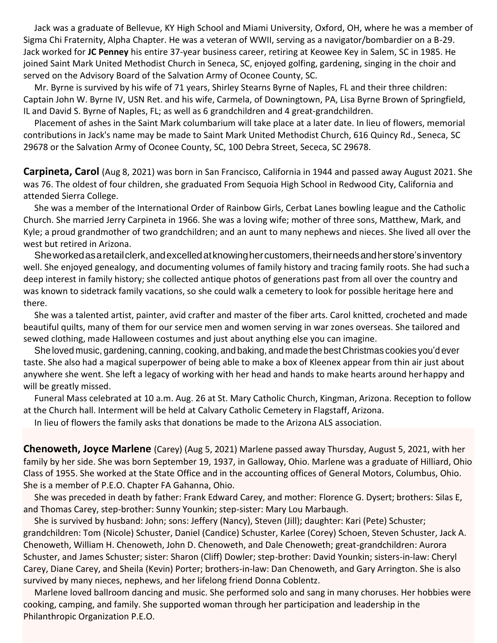Jack was a graduate of Bellevue, KY High School and Miami University, Oxford, OH, where he was a member of Sigma Chi Fraternity, Alpha Chapter. He was a veteran of WWII, serving as a navigator/bombardier on a B-29. Jack worked for **JC Penney** his entire 37-year business career, retiring at Keowee Key in Salem, SC in 1985. He joined Saint Mark United Methodist Church in Seneca, SC, enjoyed golfing, gardening, singing in the choir and served on the Advisory Board of the Salvation Army of Oconee County, SC.

Mr. Byrne is survived by his wife of 71 years, Shirley Stearns Byrne of Naples, FL and their three children: Captain John W. Byrne IV, USN Ret. and his wife, Carmela, of Downingtown, PA, Lisa Byrne Brown of Springfield, IL and David S. Byrne of Naples, FL; as well as 6 grandchildren and 4 great-grandchildren.

Placement of ashes in the Saint Mark columbarium will take place at a later date. In lieu of flowers, memorial contributions in Jack's name may be made to Saint Mark United Methodist Church, 616 Quincy Rd., Seneca, SC 29678 or the Salvation Army of Oconee County, SC, 100 Debra Street, Sececa, SC 29678.

**Carpineta, Carol** (Aug 8, 2021) was born in San Francisco, California in 1944 and passed away August 2021. She was 76. The oldest of four children, she graduated From Sequoia High School in Redwood City, California and attended Sierra College.

She was a member of the International Order of Rainbow Girls, Cerbat Lanes bowling league and the Catholic Church. She married Jerry Carpineta in 1966. She was a loving wife; mother of three sons, Matthew, Mark, and Kyle; a proud grandmother of two grandchildren; and an aunt to many nephews and nieces. She lived all over the west but retired in Arizona.

Sheworkedasaretailclerk,andexcelledatknowinghercustomers,theirneedsandherstore'sinventory well. She enjoyed genealogy, and documenting volumes of family history and tracing family roots. She had sucha deep interest in family history; she collected antique photos of generations past from all over the country and was known to sidetrack family vacations, so she could walk a cemetery to look for possible heritage here and there.

She was a talented artist, painter, avid crafter and master of the fiber arts. Carol knitted, crocheted and made beautiful quilts, many of them for our service men and women serving in war zones overseas. She tailored and sewed clothing, made Halloween costumes and just about anything else you can imagine.

She loved music, gardening, canning, cooking, and baking, and made the best Christmas cookies you'd ever taste. She also had a magical superpower of being able to make a box of Kleenex appear from thin air just about anywhere she went. She left a legacy of working with her head and hands to make hearts around herhappy and will be greatly missed.

Funeral Mass celebrated at 10 a.m. Aug. 26 at St. Mary Catholic Church, Kingman, Arizona. Reception to follow at the Church hall. Interment will be held at Calvary Catholic Cemetery in Flagstaff, Arizona.

In lieu of flowers the family asks that donations be made to the Arizona ALS association.

**Chenoweth, Joyce Marlene** (Carey) (Aug 5, 2021) Marlene passed away Thursday, August 5, 2021, with her family by her side. She was born September 19, 1937, in Galloway, Ohio. Marlene was a graduate of Hilliard, Ohio Class of 1955. She worked at the State Office and in the accounting offices of General Motors, Columbus, Ohio. She is a member of P.E.O. Chapter FA Gahanna, Ohio.

She was preceded in death by father: Frank Edward Carey, and mother: Florence G. Dysert; brothers: Silas E, and Thomas Carey, step-brother: Sunny Younkin; step-sister: Mary Lou Marbaugh.

She is survived by husband: John; sons: Jeffery (Nancy), Steven (Jill); daughter: Kari (Pete) Schuster; grandchildren: Tom (Nicole) Schuster, Daniel (Candice) Schuster, Karlee (Corey) Schoen, Steven Schuster, Jack A. Chenoweth, William H. Chenoweth, John D. Chenoweth, and Dale Chenoweth; great-grandchildren: Aurora Schuster, and James Schuster; sister: Sharon (Cliff) Dowler; step-brother: David Younkin; sisters-in-law: Cheryl Carey, Diane Carey, and Sheila (Kevin) Porter; brothers-in-law: Dan Chenoweth, and Gary Arrington. She is also survived by many nieces, nephews, and her lifelong friend Donna Coblentz.

Marlene loved ballroom dancing and music. She performed solo and sang in many choruses. Her hobbies were cooking, camping, and family. She supported woman through her participation and leadership in the Philanthropic Organization P.E.O.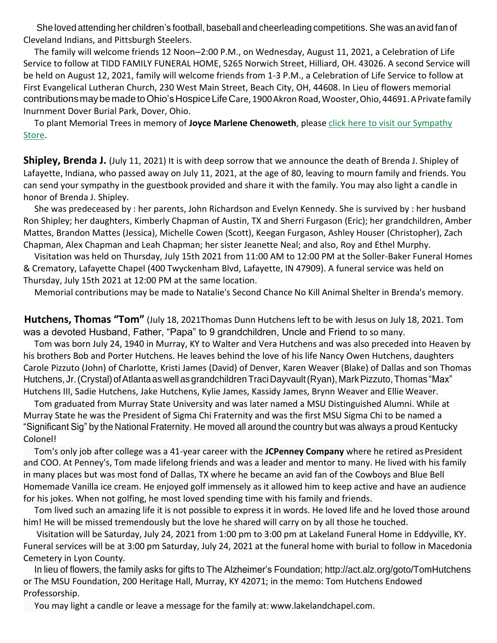She loved attending her children's football, baseball and cheerleading competitions. She was an avid fan of Cleveland Indians, and Pittsburgh Steelers.

The family will welcome friends 12 Noon–2:00 P.M., on Wednesday, August 11, 2021, a Celebration of Life Service to follow at TIDD FAMILY FUNERAL HOME, 5265 Norwich Street, Hilliard, OH. 43026. A second Service will be held on August 12, 2021, family will welcome friends from 1-3 P.M., a Celebration of Life Service to follow at First Evangelical Lutheran Church, 230 West Main Street, Beach City, OH, 44608. In Lieu of flowers memorial contributions may be made to Ohio's Hospice Life Care, 1900 Akron Road, Wooster, Ohio, 44691. A Private family Inurnment Dover Burial Park, Dover, Ohio.

To plant Memorial Trees in memory of **Joyce Marlene Chenoweth**, please [click here to visit our Sympathy](https://www.tiddfuneralservice.com/obituary/joyce-chenoweth/gifts?campaign=obituaryInline-gifts-textLink-obitText) [Store.](https://www.tiddfuneralservice.com/obituary/joyce-chenoweth/gifts?campaign=obituaryInline-gifts-textLink-obitText)

**Shipley, Brenda J.** (July 11, 2021) It is with deep sorrow that we announce the death of Brenda J. Shipley of Lafayette, Indiana, who passed away on July 11, 2021, at the age of 80, leaving to mourn family and friends. You can send your sympathy in the guestbook provided and share it with the family. You may also light a candle in honor of Brenda J. Shipley.

She was predeceased by : her parents, John Richardson and Evelyn Kennedy. She is survived by : her husband Ron Shipley; her daughters, Kimberly Chapman of Austin, TX and Sherri Furgason (Eric); her grandchildren, Amber Mattes, Brandon Mattes (Jessica), Michelle Cowen (Scott), Keegan Furgason, Ashley Houser (Christopher), Zach Chapman, Alex Chapman and Leah Chapman; her sister Jeanette Neal; and also, Roy and Ethel Murphy.

Visitation was held on Thursday, July 15th 2021 from 11:00 AM to 12:00 PM at the Soller-Baker Funeral Homes & Crematory, Lafayette Chapel (400 Twyckenham Blvd, Lafayette, IN 47909). A funeral service was held on Thursday, July 15th 2021 at 12:00 PM at the same location.

Memorial contributions may be made to Natalie's Second Chance No Kill Animal Shelter in Brenda's memory.

**Hutchens, Thomas "Tom"** (July 18, 2021Thomas Dunn Hutchens left to be with Jesus on July 18, 2021. Tom was a devoted Husband, Father, "Papa" to 9 grandchildren, Uncle and Friend to so many.

Tom was born July 24, 1940 in Murray, KY to Walter and Vera Hutchens and was also preceded into Heaven by his brothers Bob and Porter Hutchens. He leaves behind the love of his life Nancy Owen Hutchens, daughters Carole Pizzuto (John) of Charlotte, Kristi James (David) of Denver, Karen Weaver (Blake) of Dallas and son Thomas Hutchens, Jr. (Crystal) of Atlanta as well as grandchildren Traci Dayvault (Ryan), Mark Pizzuto, Thomas "Max" Hutchens III, Sadie Hutchens, Jake Hutchens, Kylie James, Kassidy James, Brynn Weaver and Ellie Weaver.

Tom graduated from Murray State University and was later named a MSU Distinguished Alumni. While at Murray State he was the President of Sigma Chi Fraternity and was the first MSU Sigma Chi to be named a "Significant Sig" by the National Fraternity. He moved all around the country but was always a proud Kentucky Colonel!

Tom's only job after college was a 41-year career with the **JCPenney Company** where he retired asPresident and COO. At Penney's, Tom made lifelong friends and was a leader and mentor to many. He lived with his family in many places but was most fond of Dallas, TX where he became an avid fan of the Cowboys and Blue Bell Homemade Vanilla ice cream. He enjoyed golf immensely as it allowed him to keep active and have an audience for his jokes. When not golfing, he most loved spending time with his family and friends.

Tom lived such an amazing life it is not possible to express it in words. He loved life and he loved those around him! He will be missed tremendously but the love he shared will carry on by all those he touched.

Visitation will be Saturday, July 24, 2021 from 1:00 pm to 3:00 pm at Lakeland Funeral Home in Eddyville, KY. Funeral services will be at 3:00 pm Saturday, July 24, 2021 at the funeral home with burial to follow in Macedonia Cemetery in Lyon County.

In lieu of flowers, the family asks for gifts to The Alzheimer's Foundation; <http://act.alz.org/goto/TomHutchens> or The MSU Foundation, 200 Heritage Hall, Murray, KY 42071; in the memo: Tom Hutchens Endowed Professorship.

You may light a candle or leave a message for the family at: [www.lakelandchapel.com.](http://www.lakelandchapel.com/)